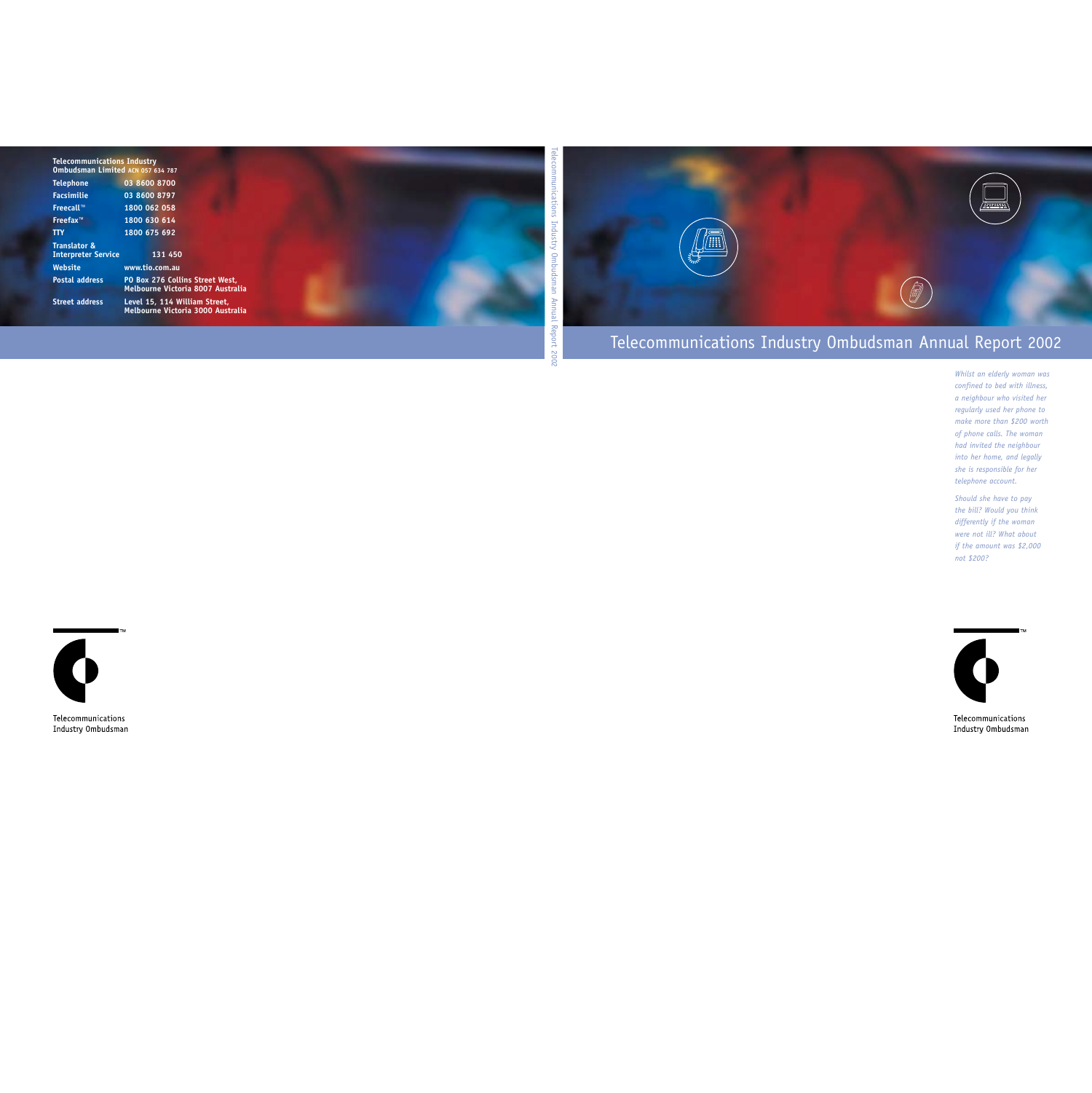

# Telecommunications Industry Ombudsman Annual Report 2002

*Whilst an elderly woman was confined to bed with illness, a neighbour who visited her regularly used her phone to make more than \$200 worth of phone calls. The woman had invited the neighbour into her home, and legally she is responsible for her telephone account.*

*Should she have to pay the bill? Would you think differently if the woman were not ill? What about if the amount was \$2,000 not \$200?* 



Telecommunications Industry Ombudsman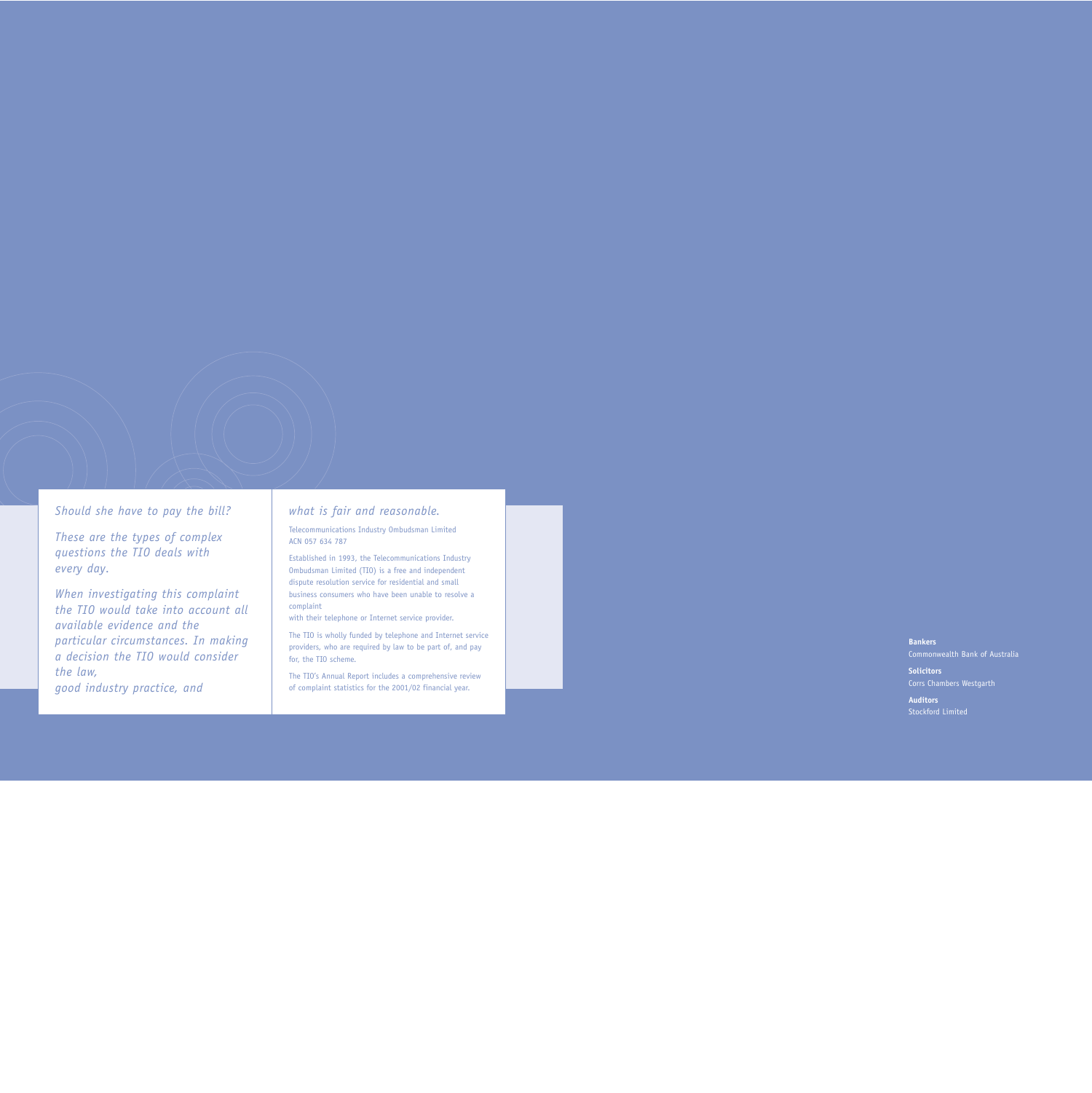*Should she have to pay the bill?*

*These are the types of complex questions the TIO deals with every day.* 

*When investigating this complaint the TIO would take into account all available evidence and theparticular circumstances. In making a decision the TIO would consider the law, good industry practice, and* 

### *what is fair and reasonable.*

Telecommunications Industry Ombudsman Limited ACN 057 634 787

Established in 1993, the Telecommunications Industry Ombudsman Limited (TIO) is a free and independent dispute resolution service for residential and small business consumers who have been unable to resolve acomplaint

with their telephone or Internet service provider.

The TIO is wholly funded by telephone and Internet service providers, who are required by law to be part of, and pay for, the TIO scheme.

The TIO's Annual Report includes a comprehensive review of complaint statistics for the 2001/02 financial year.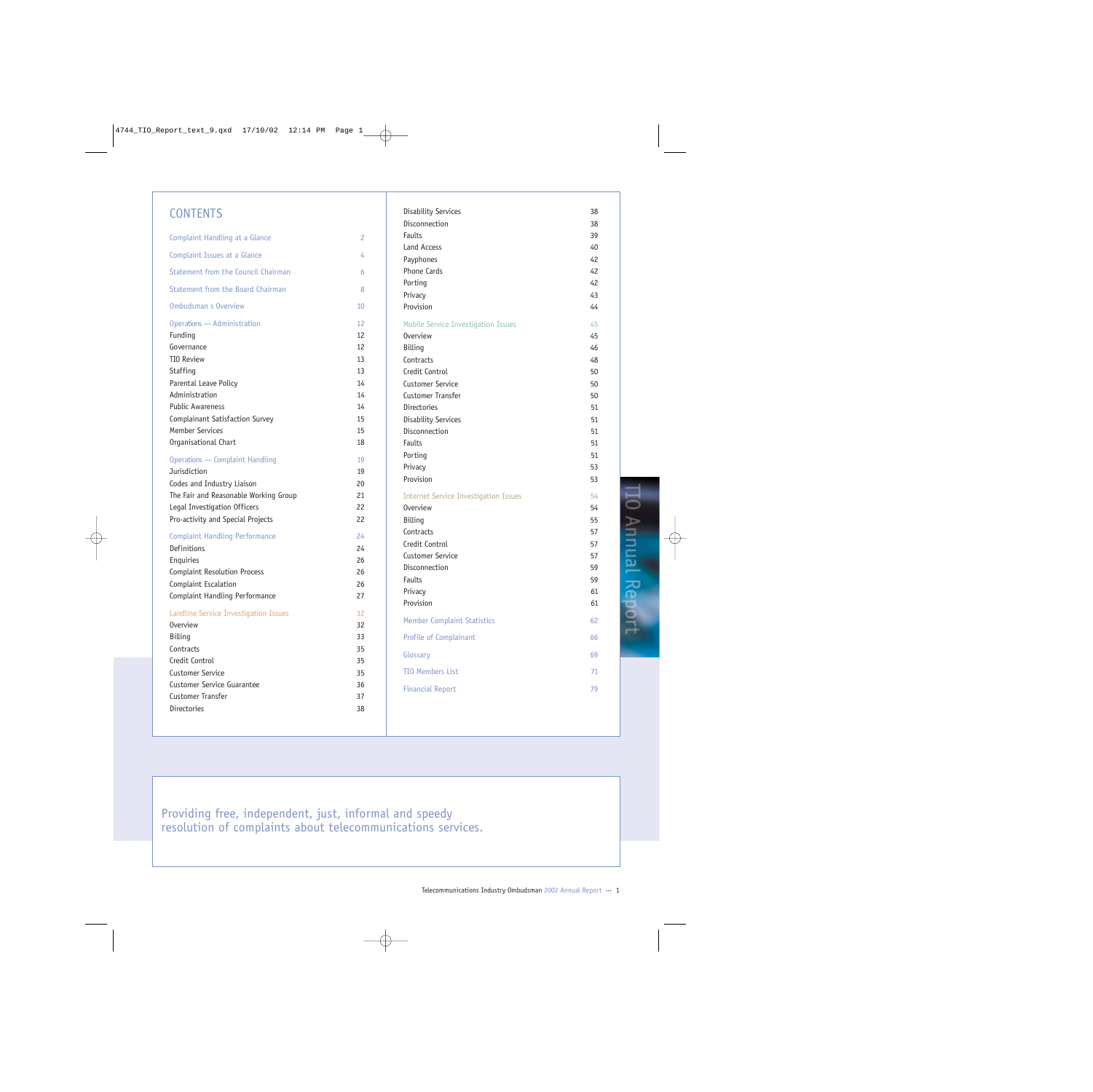### **CONTENTS**

| Complaint Handling at a Glance         | 2  | Fa        |
|----------------------------------------|----|-----------|
| Complaint Issues at a Glance           | 4  | La<br>Pa  |
| Statement from the Council Chairman    | 6  | Pł        |
| Statement from the Board Chairman      | 8  | Pc        |
| Ombudsman s Overview                   | 10 | Pr<br>Pr  |
| Operations - Administration            | 12 | $M_{\rm}$ |
| Funding                                | 12 | 0١        |
| Governance                             | 12 | Bi        |
| <b>TIO Review</b>                      | 13 | Сc        |
| Staffing                               | 13 | Cr        |
| Parental Leave Policy                  | 14 | Cι        |
| Administration                         | 14 | Cι        |
| <b>Public Awareness</b>                | 14 | Di        |
| Complainant Satisfaction Survey        | 15 | Di        |
| <b>Member Services</b>                 | 15 | Di        |
| Organisational Chart                   | 18 | Fa        |
|                                        |    | Pc        |
| <b>Operations - Complaint Handling</b> | 19 | Pr        |
| Jurisdiction                           | 19 | Pr        |
| Codes and Industry Liaison             | 20 |           |
| The Fair and Reasonable Working Group  | 21 | In        |
| Legal Investigation Officers           | 22 | 0١        |
| Pro-activity and Special Projects      | 22 | Bi        |
| <b>Complaint Handling Performance</b>  | 24 | Cс        |
| Definitions                            | 24 | Cr        |
| Enquiries                              | 26 | Cι        |
| <b>Complaint Resolution Process</b>    | 26 | Di        |
| Complaint Escalation                   | 26 | Fa        |
| Complaint Handling Performance         | 27 | Pr<br>Pr  |
| Landline Service Investigation Issues  | 32 |           |
| <b>Overview</b>                        | 32 | $M_{1}$   |
| Billing                                | 33 | Pr        |
| Contracts                              | 35 |           |
| Credit Control                         | 35 | Gl        |
| Customer Service                       | 35 | TI        |
| <b>Customer Service Guarantee</b>      | 36 | Fi        |
| Customer Transfer                      | 37 |           |
| Directories                            | 38 |           |
|                                        |    |           |

| Disability Services                          | 38 |
|----------------------------------------------|----|
| Disconnection                                | 38 |
| <b>Faults</b>                                | 39 |
| Land Access                                  | 40 |
| Payphones                                    | 42 |
| <b>Phone Cards</b>                           | 42 |
| Porting                                      | 42 |
| Privacy                                      | 43 |
| Provision                                    | 44 |
| Mobile Service Investigation Issues          | 45 |
| <b>Overview</b>                              | 45 |
| Billing                                      | 46 |
| Contracts                                    | 48 |
| Credit Control                               | 50 |
| Customer Service                             | 50 |
| <b>Customer Transfer</b>                     | 50 |
| Directories                                  | 51 |
| <b>Disability Services</b>                   | 51 |
| Disconnection                                | 51 |
| <b>Faults</b>                                | 51 |
| Porting                                      | 51 |
| Privacy                                      | 53 |
| Provision                                    | 53 |
| <b>Internet Service Investigation Issues</b> | 54 |
| <b>Overview</b>                              | 54 |
| Billing                                      | 55 |
| Contracts                                    | 57 |
| Credit Control                               | 57 |
| <b>Customer Service</b>                      | 57 |
| Disconnection                                | 59 |
| <b>Faults</b>                                | 59 |
| Privacy                                      | 61 |
| Provision                                    | 61 |
| <b>Member Complaint Statistics</b>           | 62 |
| Profile of Complainant                       | 66 |
| Glossary                                     | 69 |
| <b>TIO Members List</b>                      | 71 |
| <b>Financial Report</b>                      | 79 |

**TO Annual Report** 

Providing free, independent, just, informal and speedy resolution of complaints about telecommunications services.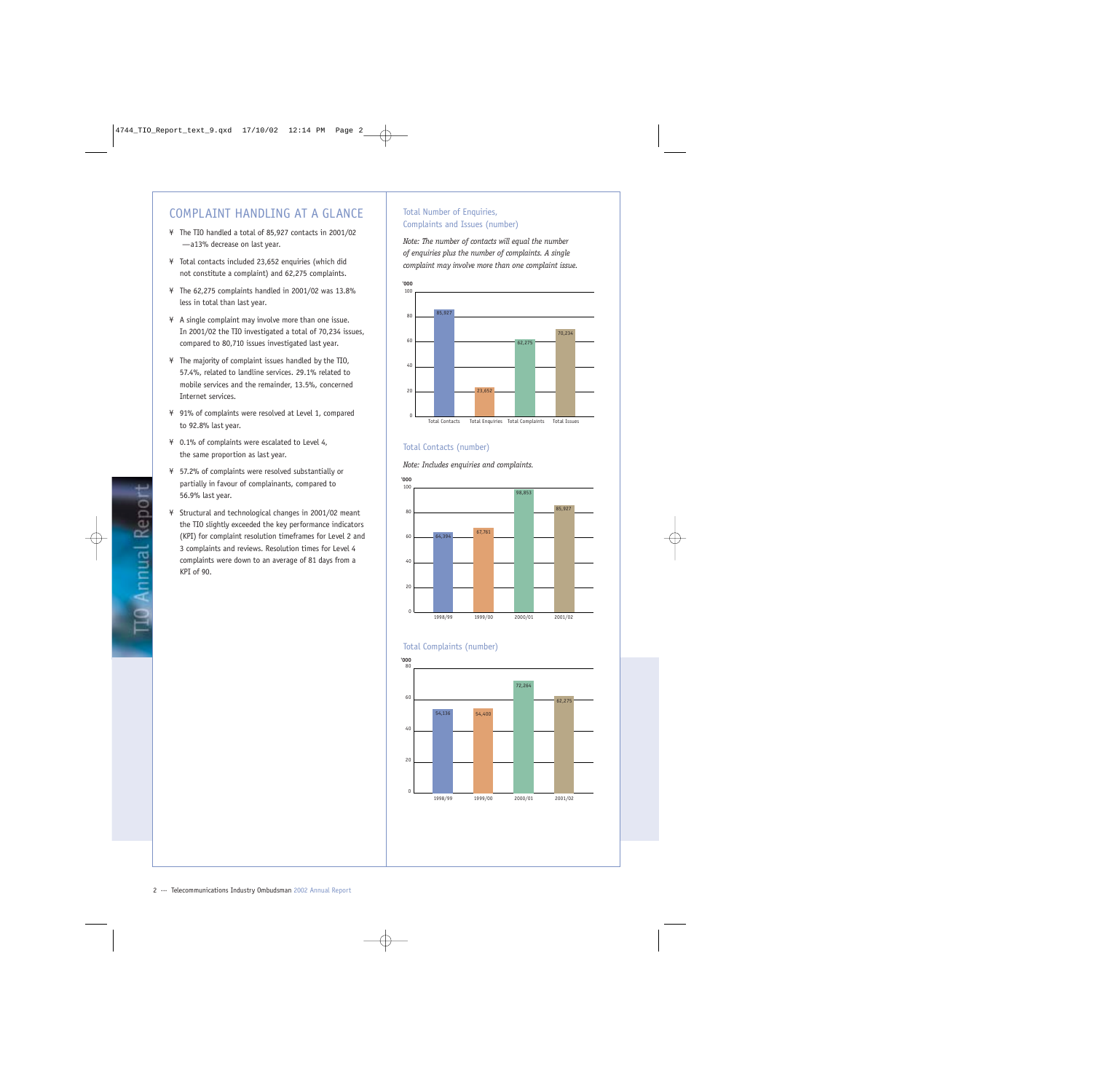## COMPLAINT HANDLING AT A GLANCE

- ¥ The TIO handled a total of 85,927 contacts in 2001/02 — a 13% decrease on last year.
- ¥ Total contacts included 23,652 enquiries (which did not constitute a complaint) and 62,275 complaints.
- ¥ The 62,275 complaints handled in 2001/02 was 13.8% less in total than last year.
- ¥ A single complaint may involve more than one issue. In 2001/02 the TIO investigated a total of 70,234 issues, compared to 80,710 issues investigated last year.
- ¥ The majority of complaint issues handled by the TIO, 57.4%, related to landline services. 29.1% related to mobile services and the remainder, 13.5%, concerned Internet services.
- ¥ 91% of complaints were resolved at Level 1, compared to 92.8% last year.
- ¥ 0.1% of complaints were escalated to Level 4, the same proportion as last year.
- ¥ 57.2% of complaints were resolved substantially or partially in favour of complainants, compared to 56.9% last year.
- ¥ Structural and technological changes in 2001/02 meant the TIO slightly exceeded the key performance indicators (KPI) for complaint resolution timeframes for Level 2 and 3 complaints and reviews. Resolution times for Level 4 complaints were down to an average of 81 days from a KPI of 90.

### Total Number of Enquiries, Complaints and Issues (number)

*Note: The number of contacts will equal the number of enquiries plus the number of complaints. A single complaint may involve more than one complaint issue.*



### Total Contacts (number)

*Note: Includes enquiries and complaints.*





#### Total Complaints (number)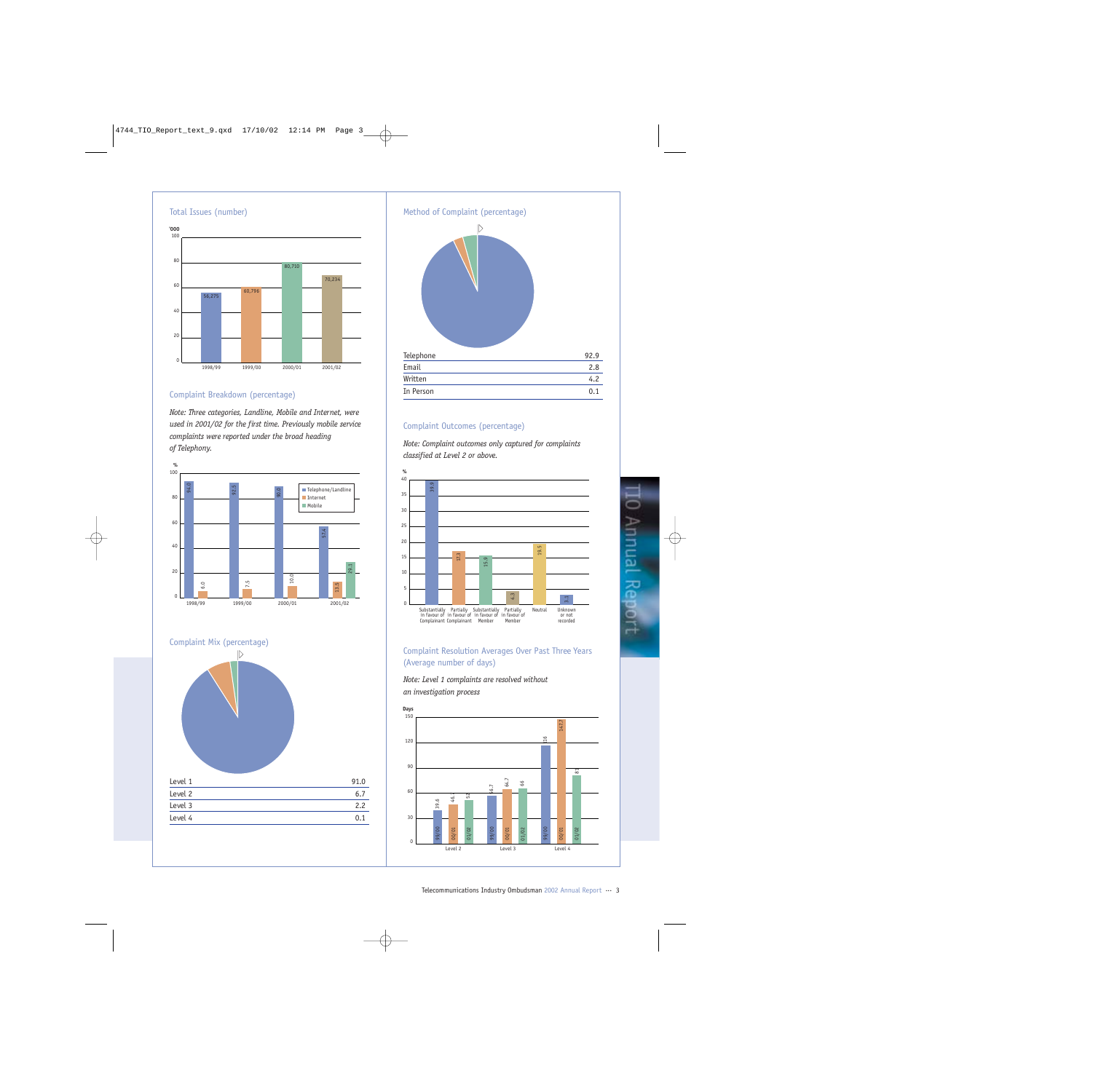

### Complaint Breakdown (percentage)

*Note: Three categories, Landline, Mobile and Internet, were used in 2001/02 for the first time. Previously mobile service complaints were reported under the broad heading of Telephony.*







### Complaint Outcomes (percentage)

*Note: Complaint outcomes only captured for complaints classified at Level 2 or above.*



### Complaint Resolution Averages Over Past Three Years (Average number of days)

*Note: Level 1 complaints are resolved without an investigation process*

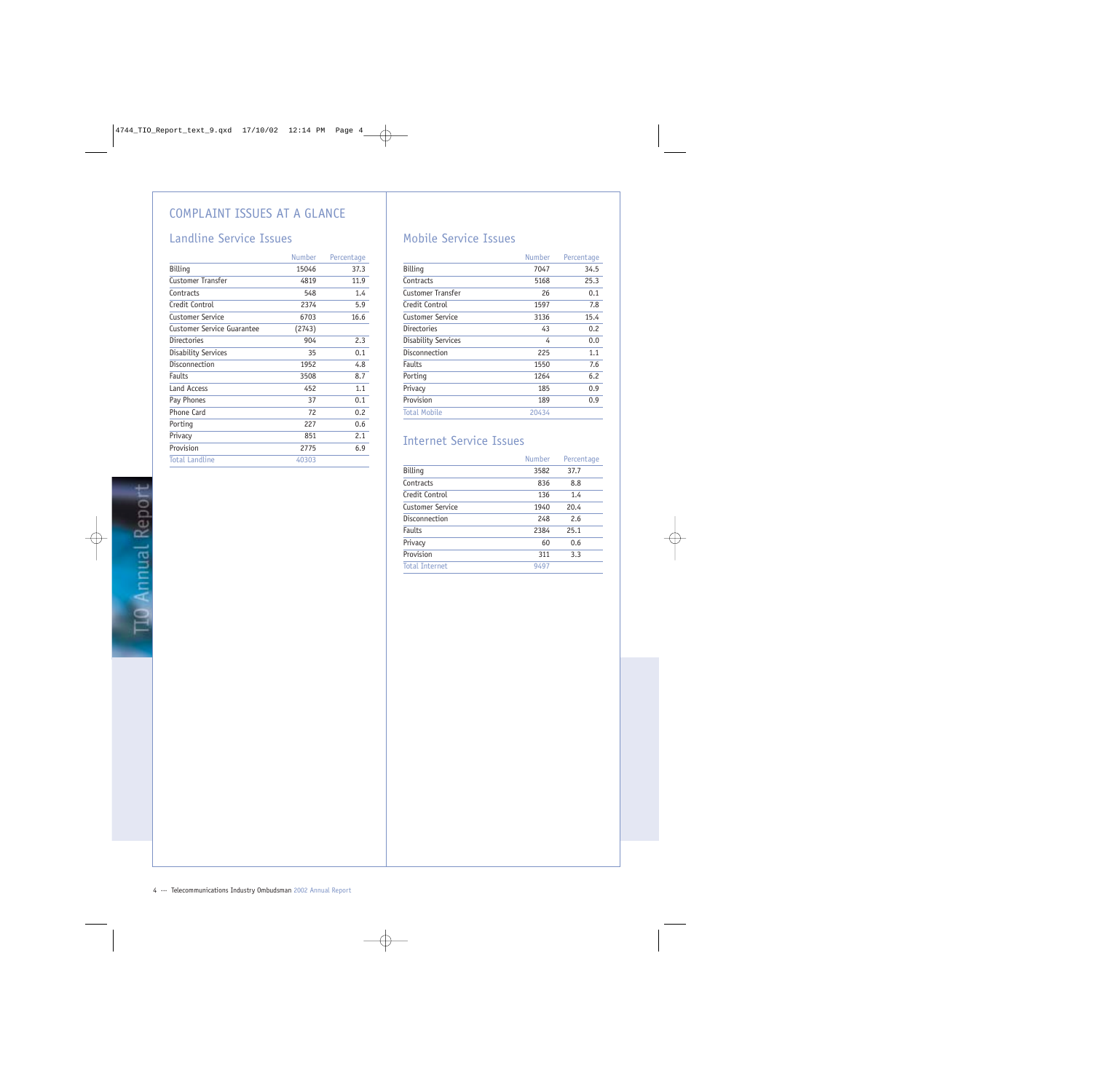## COMPLAINT ISSUES AT A GLANCE

## Landline Service Issues

|                            | <b>Number</b> | Percentage |
|----------------------------|---------------|------------|
| Billing                    | 15046         | 37.3       |
| Customer Transfer          | 4819          | 11.9       |
| Contracts                  | 548           | 1.4        |
| Credit Control             | 2374          | 5.9        |
| Customer Service           | 6703          | 16.6       |
| Customer Service Guarantee | (2743)        |            |
| Directories                | 904           | 2.3        |
| Disability Services        | 35            | 0.1        |
| Disconnection              | 1952          | 4.8        |
| Faults                     | 3508          | 8.7        |
| Land Access                | 452           | 1.1        |
| Pay Phones                 | 37            | 0.1        |
| Phone Card                 | 72            | 0.2        |
| Porting                    | 227           | 0.6        |
| Privacy                    | 851           | 2.1        |
| Provision                  | 2775          | 6.9        |
| <b>Total Landline</b>      | 40303         |            |
|                            |               |            |

## Mobile Service Issues

| <b>Number</b> | Percentage |
|---------------|------------|
| 7047          | 34.5       |
| 5168          | 25.3       |
| 26            | 0.1        |
| 1597          | 7.8        |
| 3136          | 15.4       |
| 43            | 0.2        |
| 4             | 0.0        |
| 225           | 1.1        |
| 1550          | 7.6        |
| 1264          | 6.2        |
| 185           | 0.9        |
| 189           | 0.9        |
| 20434         |            |
|               |            |

## Internet Service Issues

|                       | <b>Number</b> | Percentage |
|-----------------------|---------------|------------|
| Billing               | 3582          | 37.7       |
| Contracts             | 836           | 8.8        |
| Credit Control        | 136           | 1.4        |
| Customer Service      | 1940          | 20.4       |
| Disconnection         | 248           | 2.6        |
| Faults                | 2384          | 25.1       |
| Privacy               | 60            | 0.6        |
| Provision             | 311           | 3.3        |
| <b>Total Internet</b> | 9497          |            |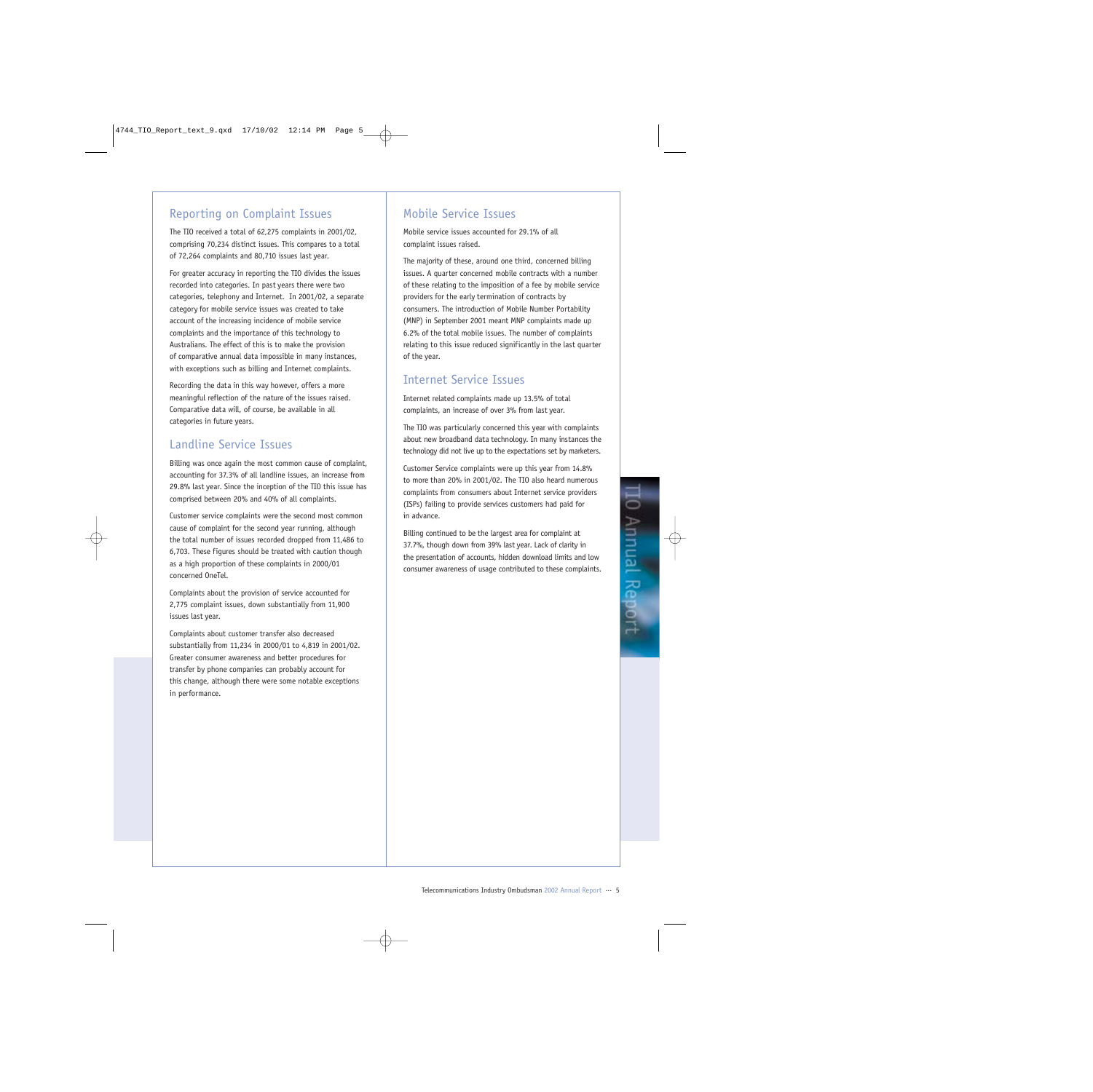## Reporting on Complaint Issues

The TIO received a total of 62,275 complaints in 2001/02, comprising 70,234 distinct issues. This compares to a total of 72,264 complaints and 80,710 issues last year.

For greater accuracy in reporting the TIO divides the issues recorded into categories. In past years there were two categories, telephony and Internet. In 2001/02, a separate category for mobile service issues was created to take account of the increasing incidence of mobile service complaints and the importance of this technology to Australians. The effect of this is to make the provision of comparative annual data impossible in many instances, with exceptions such as billing and Internet complaints.

Recording the data in this way however, offers a more meaningful reflection of the nature of the issues raised. Comparative data will, of course, be available in all categories in future years.

## Landline Service Issues

Billing was once again the most common cause of complaint, accounting for 37.3% of all landline issues, an increase from 29.8% last year. Since the inception of the TIO this issue has comprised between 20% and 40% of all complaints.

Customer service complaints were the second most common cause of complaint for the second year running, although the total number of issues recorded dropped from 11,486 to 6,703. These figures should be treated with caution though as a high proportion of these complaints in 2000/01 concerned OneTel.

Complaints about the provision of service accounted for 2,775 complaint issues, down substantially from 11,900 issues last year.

Complaints about customer transfer also decreased substantially from 11,234 in 2000/01 to 4,819 in 2001/02. Greater consumer awareness and better procedures for transfer by phone companies can probably account for this change, although there were some notable exceptions in performance.

## Mobile Service Issues

Mobile service issues accounted for 29.1% of all complaint issues raised.

The majority of these, around one third, concerned billing issues. A quarter concerned mobile contracts with a number of these relating to the imposition of a fee by mobile service providers for the early termination of contracts by consumers. The introduction of Mobile Number Portability (MNP) in September 2001 meant MNP complaints made up 6.2% of the total mobile issues. The number of complaints relating to this issue reduced significantly in the last quarter of the year.

### Internet Service Issues

Internet related complaints made up 13.5% of total complaints, an increase of over 3% from last year.

The TIO was particularly concerned this year with complaints about new broadband data technology. In many instances the technology did not live up to the expectations set by marketers.

Customer Service complaints were up this year from 14.8% to more than 20% in 2001/02. The TIO also heard numerous complaints from consumers about Internet service providers (ISPs) failing to provide services customers had paid for in advance.

Billing continued to be the largest area for complaint at 37.7%, though down from 39% last year. Lack of clarity in the presentation of accounts, hidden download limits and low consumer awareness of usage contributed to these complaints.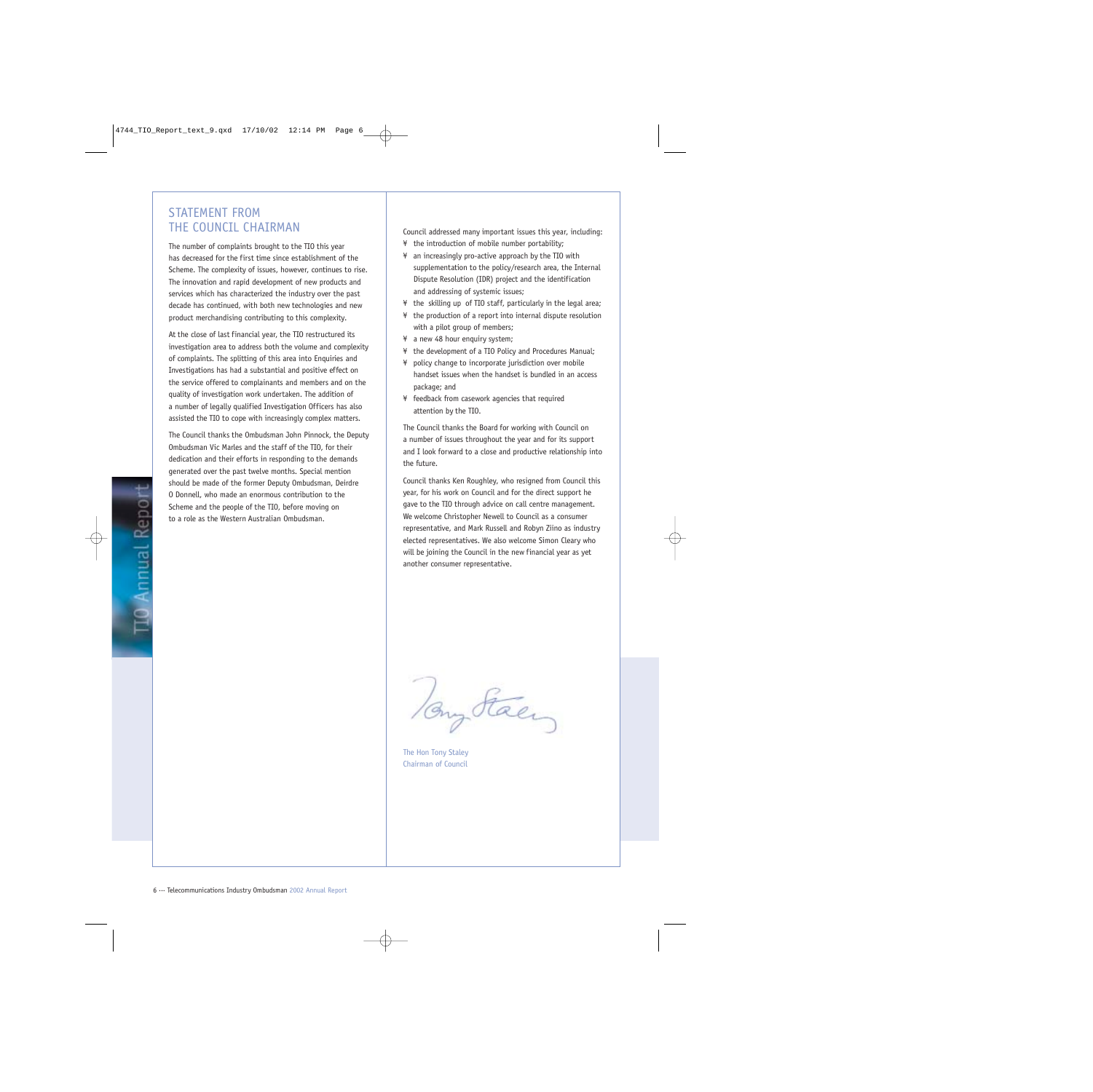### STATEMENT FROM THE COUNCIL CHAIRMAN

The number of complaints brought to the TIO this year has decreased for the first time since establishment of the Scheme. The complexity of issues, however, continues to rise. The innovation and rapid development of new products and services which has characterized the industry over the past decade has continued, with both new technologies and new product merchandising contributing to this complexity.

At the close of last financial year, the TIO restructured its investigation area to address both the volume and complexity of complaints. The splitting of this area into Enquiries and Investigations has had a substantial and positive effect on the service offered to complainants and members and on the quality of investigation work undertaken. The addition of a number of legally qualified Investigation Officers has also assisted the TIO to cope with increasingly complex matters.

The Council thanks the Ombudsman John Pinnock, the Deputy Ombudsman Vic Marles and the staff of the TIO, for their dedication and their efforts in responding to the demands generated over the past twelve months. Special mention should be made of the former Deputy Ombudsman, Deirdre O Donnell, who made an enormous contribution to the Scheme and the people of the TIO, before moving on to a role as the Western Australian Ombudsman.

Council addressed many important issues this year, including: ¥ the introduction of mobile number portability;

- ¥ an increasingly pro-active approach by the TIO with supplementation to the policy/research area, the Internal Dispute Resolution (IDR) project and the identification and addressing of systemic issues;
- ¥ the skilling up of TIO staff, particularly in the legal area;
- ¥ the production of a report into internal dispute resolution with a pilot group of members:
- ¥ a new 48 hour enquiry system;
- ¥ the development of a TIO Policy and Procedures Manual;
- ¥ policy change to incorporate jurisdiction over mobile handset issues when the handset is bundled in an access package; and
- ¥ feedback from casework agencies that required attention by the TIO.

The Council thanks the Board for working with Council on a number of issues throughout the year and for its support and I look forward to a close and productive relationship into the future.

Council thanks Ken Roughley, who resigned from Council this year, for his work on Council and for the direct support he gave to the TIO through advice on call centre management. We welcome Christopher Newell to Council as a consumer representative, and Mark Russell and Robyn Ziino as industry elected representatives. We also welcome Simon Cleary who will be joining the Council in the new financial year as yet another consumer representative.

Tony Stacy

The Hon Tony Staley Chairman of Council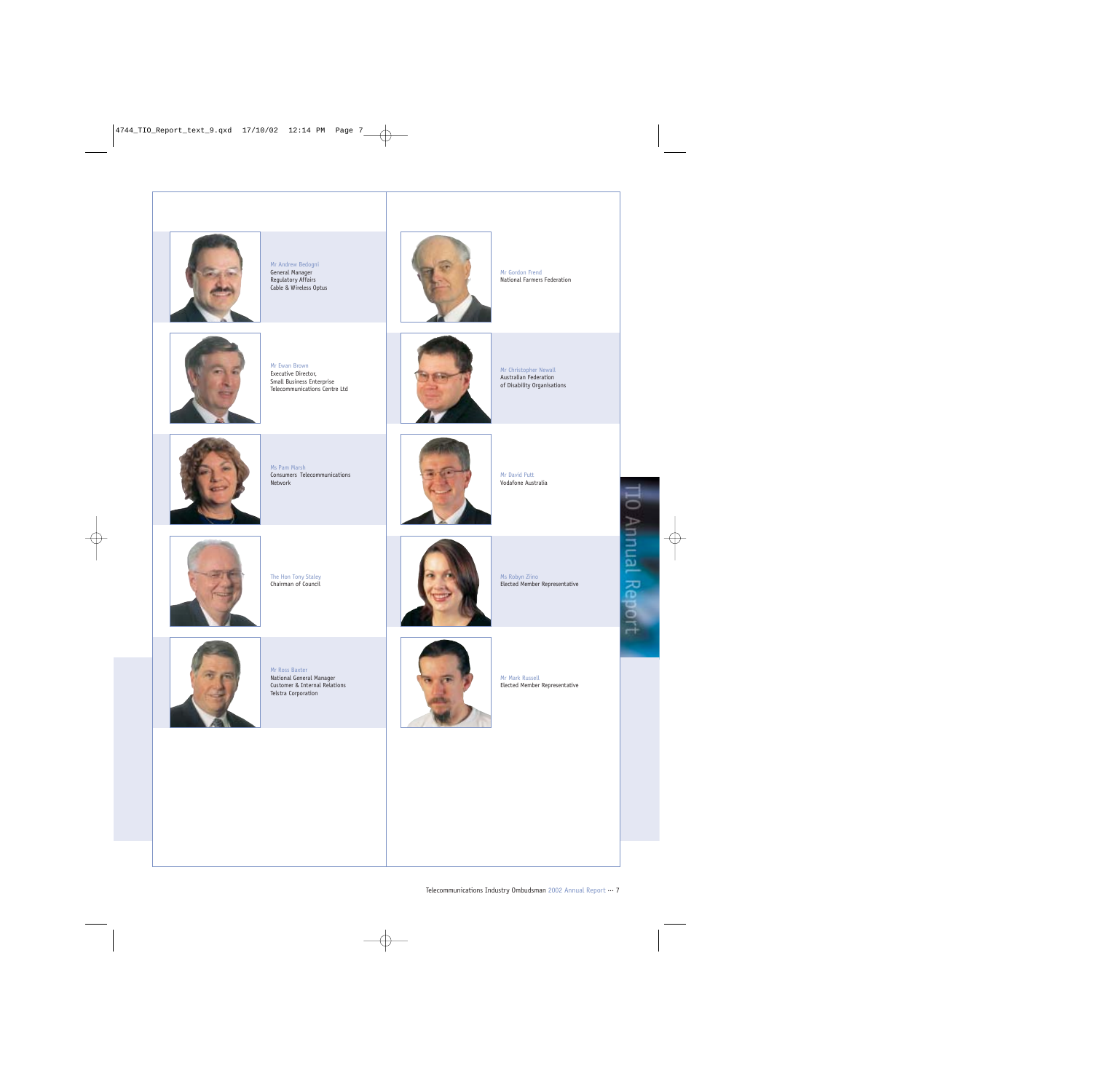

Mr Andrew Bedogni General Manager Regulatory Affairs Cable & Wireless Optus



Mr Gordon Frend National Farmers Federation



Mr Ewan Brown Executive Director, Small Business Enterprise Telecommunications Centre Ltd



Mr Christopher Newall Australian Federation of Disability Organisations



Ms Pam Marsh Consumers Telecommunications Network



Mr David Putt Vodafone Australia



The Hon Tony Staley Chairman of Council



Ms Robyn Ziino Elected Member Representative



Mr Ross Baxter National General Manager Customer & Internal Relations Telstra Corporation



Mr Mark Russell Elected Member Representative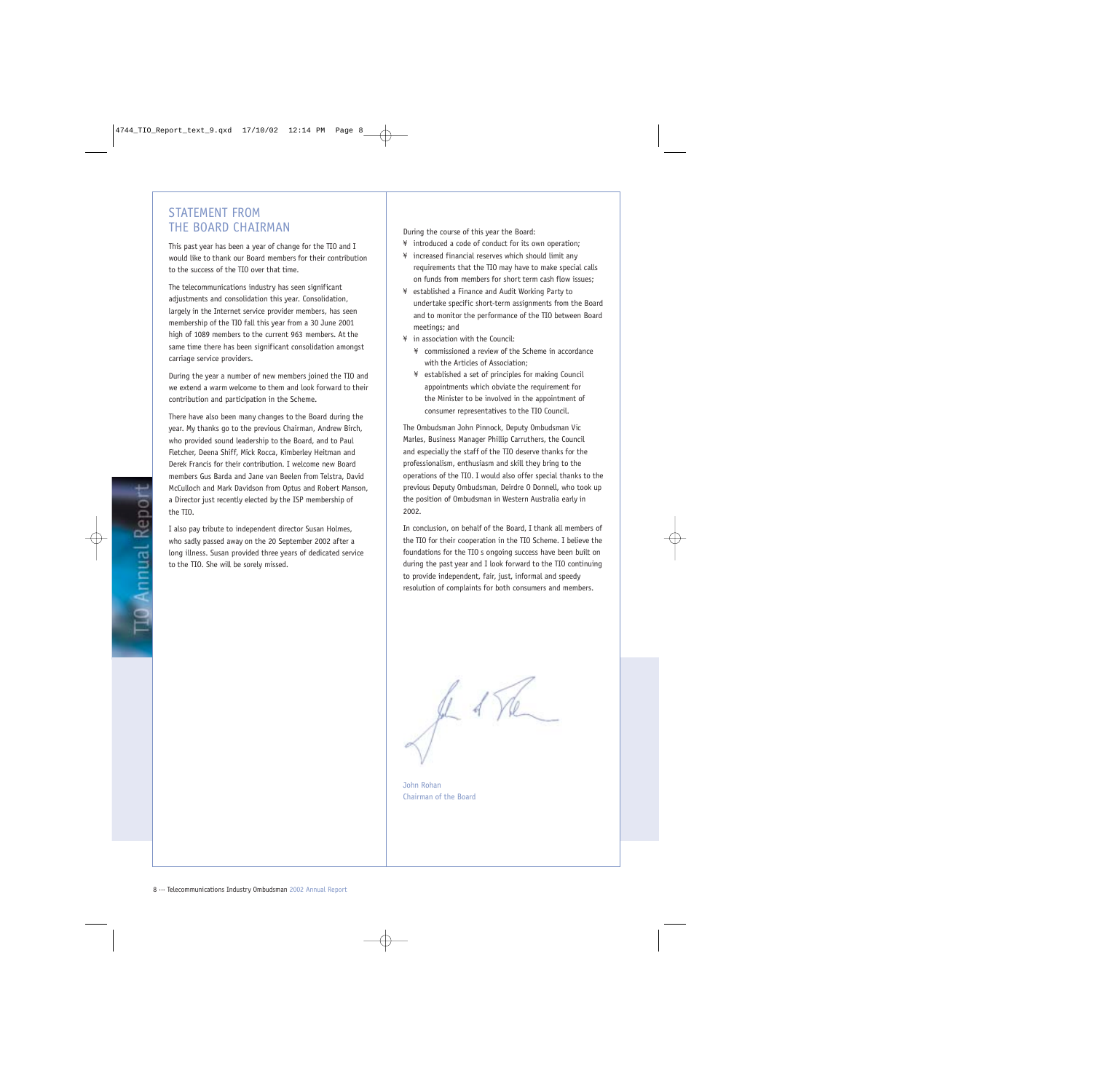### STATEMENT FROM THE BOARD CHAIRMAN

This past year has been a year of change for the TIO and I would like to thank our Board members for their contribution to the success of the TIO over that time.

The telecommunications industry has seen significant adjustments and consolidation this year. Consolidation, largely in the Internet service provider members, has seen membership of the TIO fall this year from a 30 June 2001 high of 1089 members to the current 963 members. At the same time there has been significant consolidation amongst carriage service providers.

During the year a number of new members joined the TIO and we extend a warm welcome to them and look forward to their contribution and participation in the Scheme.

There have also been many changes to the Board during the year. My thanks go to the previous Chairman, Andrew Birch, who provided sound leadership to the Board, and to Paul Fletcher, Deena Shiff, Mick Rocca, Kimberley Heitman and Derek Francis for their contribution. I welcome new Board members Gus Barda and Jane van Beelen from Telstra, David McCulloch and Mark Davidson from Optus and Robert Manson, a Director just recently elected by the ISP membership of the TIO.

I also pay tribute to independent director Susan Holmes, who sadly passed away on the 20 September 2002 after a long illness. Susan provided three years of dedicated service to the TIO. She will be sorely missed.

During the course of this year the Board:

¥ introduced a code of conduct for its own operation;

- ¥ increased financial reserves which should limit any requirements that the TIO may have to make special calls on funds from members for short term cash flow issues;
- ¥ established a Finance and Audit Working Party to undertake specific short-term assignments from the Board and to monitor the performance of the TIO between Board meetings; and
- ¥ in association with the Council:
	- ¥ commissioned a review of the Scheme in accordance with the Articles of Association;
	- ¥ established a set of principles for making Council appointments which obviate the requirement for the Minister to be involved in the appointment of consumer representatives to the TIO Council.

The Ombudsman John Pinnock, Deputy Ombudsman Vic Marles, Business Manager Phillip Carruthers, the Council and especially the staff of the TIO deserve thanks for the professionalism, enthusiasm and skill they bring to the operations of the TIO. I would also offer special thanks to the previous Deputy Ombudsman, Deirdre O Donnell, who took up the position of Ombudsman in Western Australia early in 2002.

In conclusion, on behalf of the Board, I thank all members of the TIO for their cooperation in the TIO Scheme. I believe the foundations for the TIO s ongoing success have been built on during the past year and I look forward to the TIO continuing to provide independent, fair, just, informal and speedy resolution of complaints for both consumers and members.

John Rohan Chairman of the Board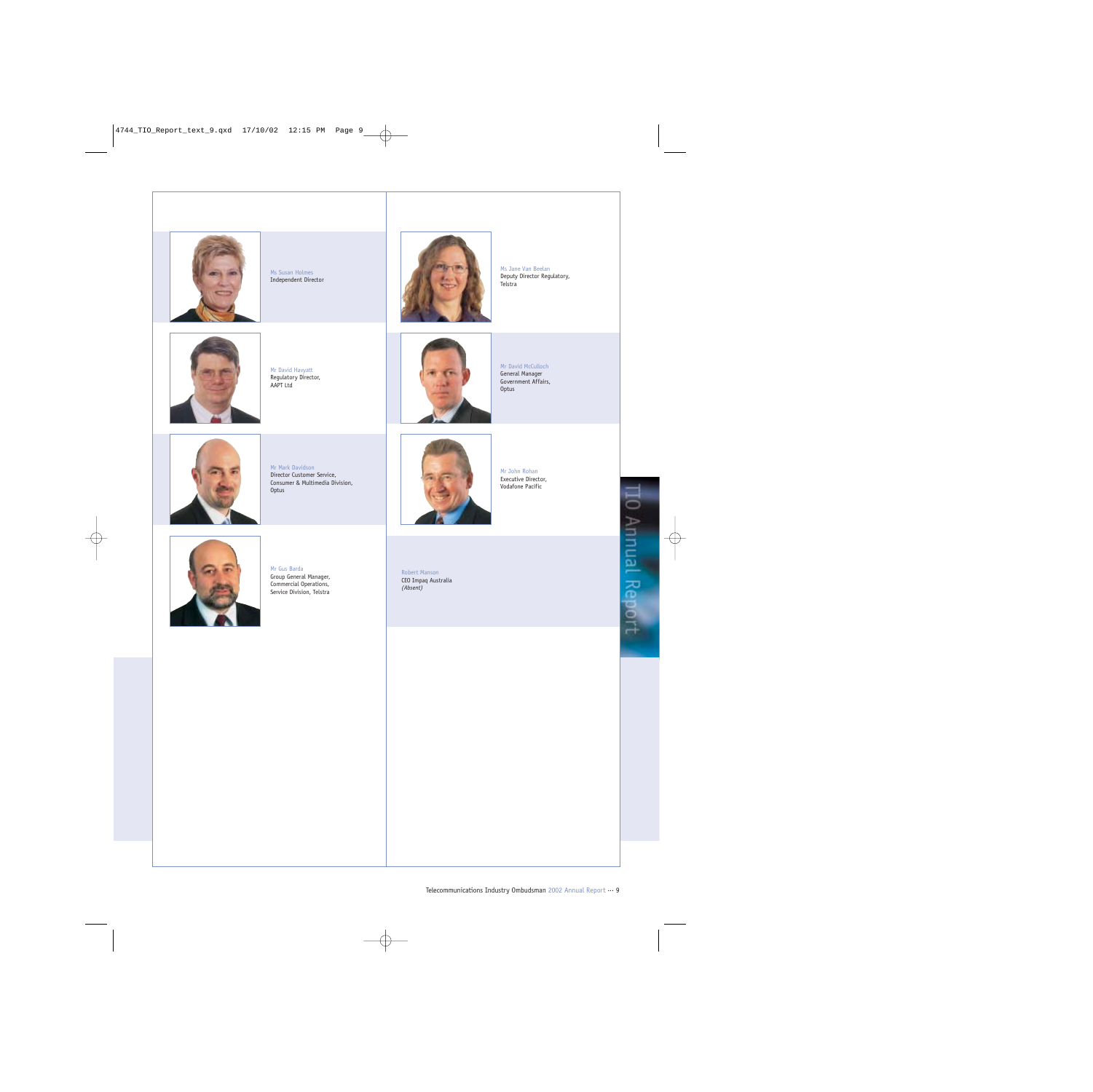

Ms Susan Holmes Independent Director



Ms Jane Van Beelan Deputy Director Regulatory, Telstra



Mr David Havyatt Regulatory Director, AAPT Ltd



Mr David McCulloch General Manager Government Affairs, Optus



Mr Mark Davidson Director Customer Service, Consumer & Multimedia Division, Optus



Mr John Rohan Executive Director, Vodafone Pacific



Mr Gus Barda Group General Manager, Commercial Operations, Service Division, Telstra

Robert Manson CEO Impaq Australia *(Absent)*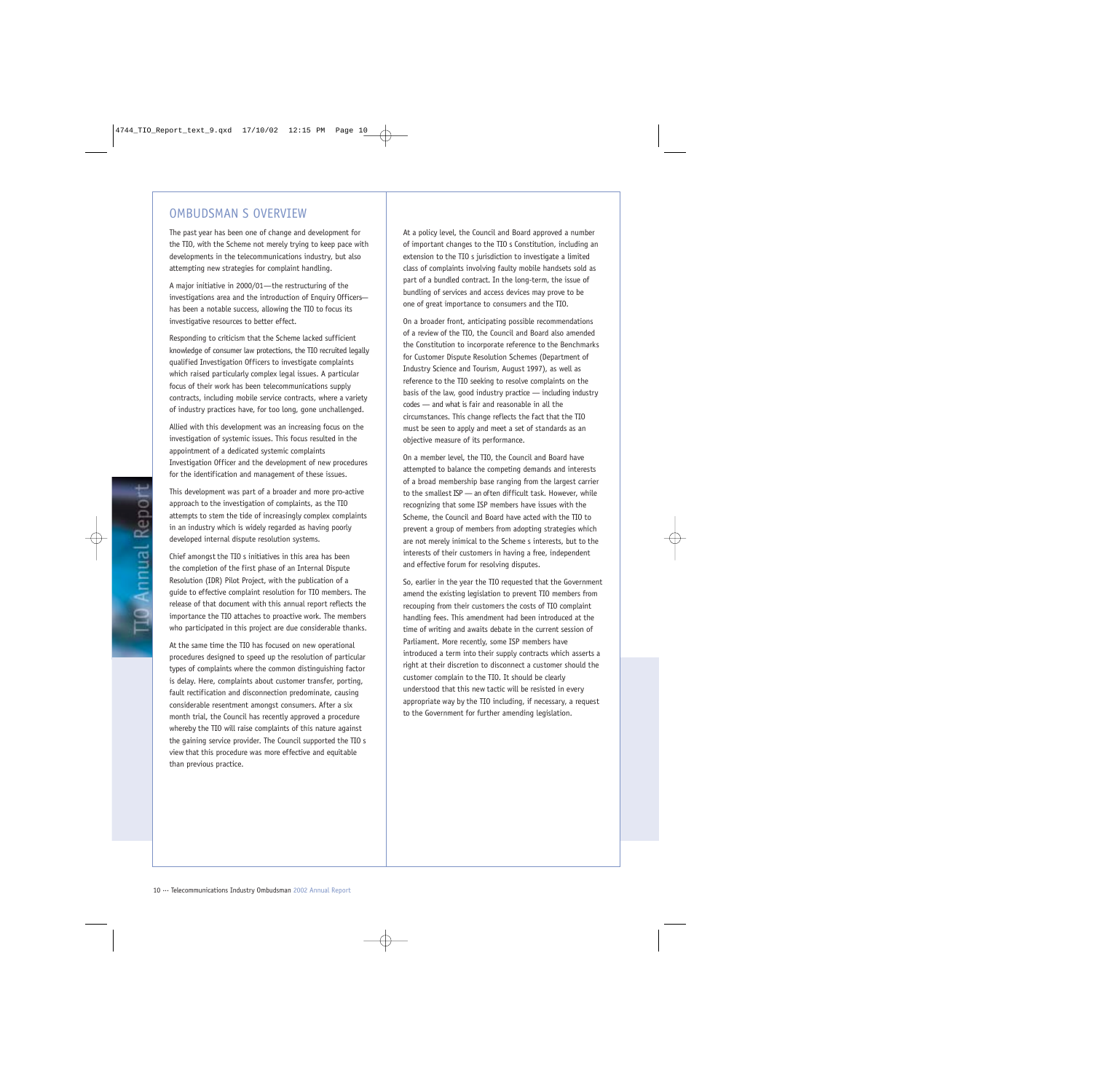### OMBUDSMAN S OVERVIEW

The past year has been one of change and development for the TIO, with the Scheme not merely trying to keep pace with developments in the telecommunications industry, but also attempting new strategies for complaint handling.

A major initiative in 2000/01 — the restructuring of the investigations area and the introduction of Enquiry Officers has been a notable success, allowing the TIO to focus its investigative resources to better effect.

Responding to criticism that the Scheme lacked sufficient knowledge of consumer law protections, the TIO recruited legally qualified Investigation Officers to investigate complaints which raised particularly complex legal issues. A particular focus of their work has been telecommunications supply contracts, including mobile service contracts, where a variety of industry practices have, for too long, gone unchallenged.

Allied with this development was an increasing focus on the investigation of systemic issues. This focus resulted in the appointment of a dedicated systemic complaints Investigation Officer and the development of new procedures for the identification and management of these issues.

This development was part of a broader and more pro-active approach to the investigation of complaints, as the TIO attempts to stem the tide of increasingly complex complaints in an industry which is widely regarded as having poorly developed internal dispute resolution systems.

Chief amongst the TIO s initiatives in this area has been the completion of the first phase of an Internal Dispute Resolution (IDR) Pilot Project, with the publication of a guide to effective complaint resolution for TIO members. The release of that document with this annual report reflects the importance the TIO attaches to proactive work. The members who participated in this project are due considerable thanks.

At the same time the TIO has focused on new operational procedures designed to speed up the resolution of particular types of complaints where the common distinguishing factor is delay. Here, complaints about customer transfer, porting, fault rectification and disconnection predominate, causing considerable resentment amongst consumers. After a six month trial, the Council has recently approved a procedure whereby the TIO will raise complaints of this nature against the gaining service provider. The Council supported the TIO s view that this procedure was more effective and equitable than previous practice.

At a policy level, the Council and Board approved a number of important changes to the TIO s Constitution, including an extension to the TIO s jurisdiction to investigate a limited class of complaints involving faulty mobile handsets sold as part of a bundled contract. In the long-term, the issue of bundling of services and access devices may prove to be one of great importance to consumers and the TIO.

On a broader front, anticipating possible recommendations of a review of the TIO, the Council and Board also amended the Constitution to incorporate reference to the Benchmarks for Customer Dispute Resolution Schemes (Department of Industry Science and Tourism, August 1997), as well as reference to the TIO seeking to resolve complaints on the basis of the law, good industry practice — including industry codes — and what is fair and reasonable in all the circumstances. This change reflects the fact that the TIO must be seen to apply and meet a set of standards as an objective measure of its performance.

On a member level, the TIO, the Council and Board have attempted to balance the competing demands and interests of a broad membership base ranging from the largest carrier to the smallest ISP — an often difficult task. However, while recognizing that some ISP members have issues with the Scheme, the Council and Board have acted with the TIO to prevent a group of members from adopting strategies which are not merely inimical to the Scheme s interests, but to the interests of their customers in having a free, independent and effective forum for resolving disputes.

So, earlier in the year the TIO requested that the Government amend the existing legislation to prevent TIO members from recouping from their customers the costs of TIO complaint handling fees. This amendment had been introduced at the time of writing and awaits debate in the current session of Parliament. More recently, some ISP members have introduced a term into their supply contracts which asserts a right at their discretion to disconnect a customer should the customer complain to the TIO. It should be clearly understood that this new tactic will be resisted in every appropriate way by the TIO including, if necessary, a request to the Government for further amending legislation.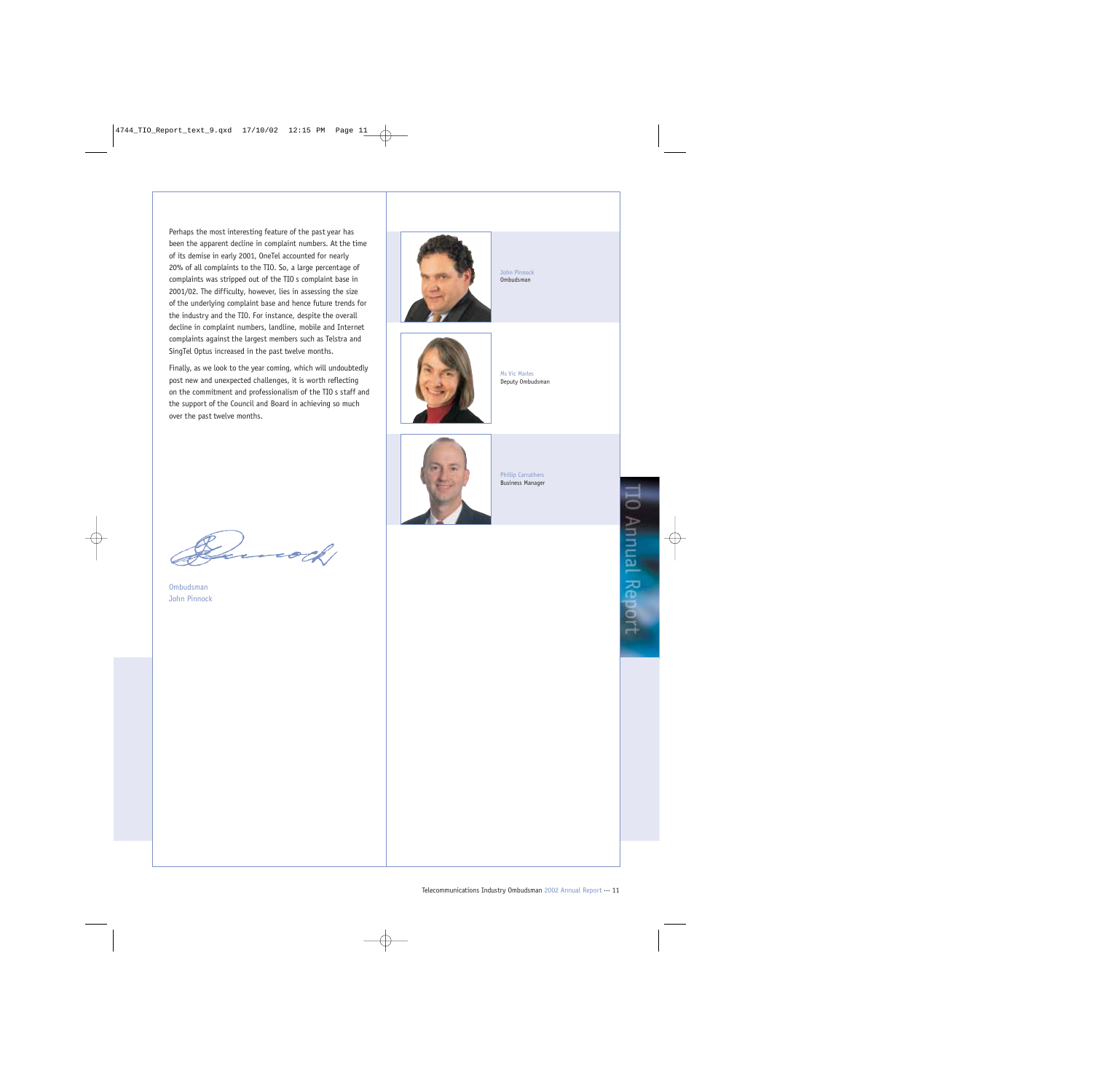Perhaps the most interesting feature of the past year has been the apparent decline in complaint numbers. At the time of its demise in early 2001, OneTel accounted for nearly 20% of all complaints to the TIO. So, a large percentage of complaints was stripped out of the TIO s complaint base in 2001/02. The difficulty, however, lies in assessing the size of the underlying complaint base and hence future trends for the industry and the TIO. For instance, despite the overall decline in complaint numbers, landline, mobile and Internet complaints against the largest members such as Telstra and SingTel Optus increased in the past twelve months.

Finally, as we look to the year coming, which will undoubtedly post new and unexpected challenges, it is worth reflecting on the commitment and professionalism of the TIO s staff and the support of the Council and Board in achieving so much over the past twelve months.



John Pinnock Ombudsman



Ms Vic Marles Deputy Ombudsman



Phillip Carruthers Business Manager

**[0 Annual Report** 

Ombudsman John Pinnock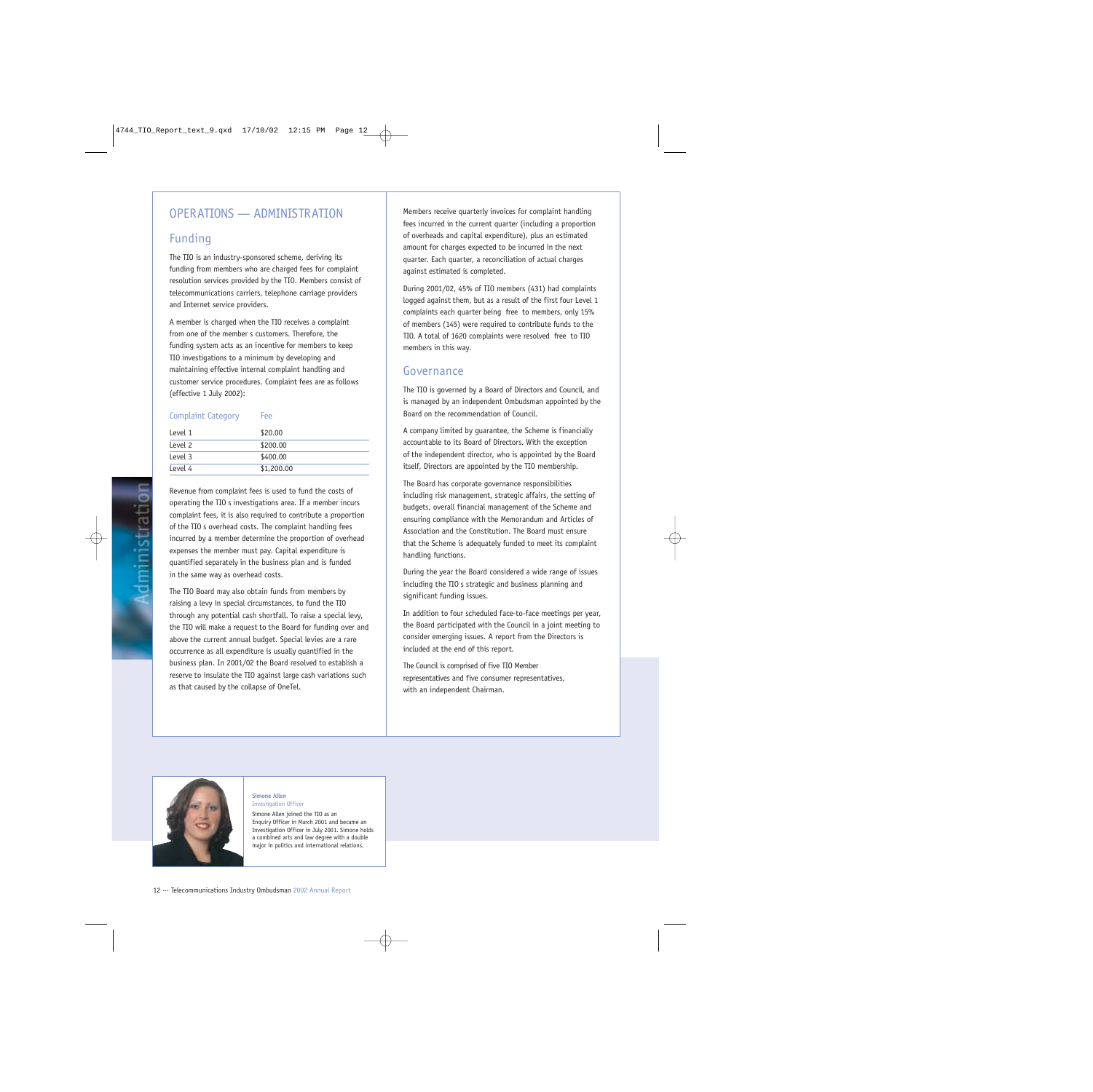## OPERATIONS — ADMINISTRATION

## Funding

The TIO is an industry-sponsored scheme, deriving its funding from members who are charged fees for complaint resolution services provided by the TIO. Members consist of telecommunications carriers, telephone carriage providers and Internet service providers.

A member is charged when the TIO receives a complaint from one of the member s customers. Therefore, the funding system acts as an incentive for members to keep TIO investigations to a minimum by developing and maintaining effective internal complaint handling and customer service procedures. Complaint fees are as follows (effective 1 July 2002):

### Complaint Category Fee

| Level 1 | \$20.00    |
|---------|------------|
| Level 2 | \$200.00   |
| Level 3 | \$400.00   |
| Level 4 | \$1,200.00 |

Revenue from complaint fees is used to fund the costs of operating the TIO s investigations area. If a member incurs complaint fees, it is also required to contribute a proportion of the TIO s overhead costs. The complaint handling fees incurred by a member determine the proportion of overhead expenses the member must pay. Capital expenditure is quantified separately in the business plan and is funded in the same way as overhead costs.

The TIO Board may also obtain funds from members by raising a levy in special circumstances, to fund the TIO through any potential cash shortfall. To raise a special levy, the TIO will make a request to the Board for funding over and above the current annual budget. Special levies are a rare occurrence as all expenditure is usually quantified in the business plan. In 2001/02 the Board resolved to establish a reserve to insulate the TIO against large cash variations such as that caused by the collapse of OneTel.

Members receive quarterly invoices for complaint handling fees incurred in the current quarter (including a proportion of overheads and capital expenditure), plus an estimated amount for charges expected to be incurred in the next quarter. Each quarter, a reconciliation of actual charges against estimated is completed.

During 2001/02, 45% of TIO members (431) had complaints logged against them, but as a result of the first four Level 1 complaints each quarter being free to members, only 15% of members (145) were required to contribute funds to the TIO. A total of 1620 complaints were resolved free to TIO members in this way.

### Governance

The TIO is governed by a Board of Directors and Council, and is managed by an independent Ombudsman appointed by the Board on the recommendation of Council.

A company limited by guarantee, the Scheme is financially accountable to its Board of Directors. With the exception of the independent director, who is appointed by the Board itself, Directors are appointed by the TIO membership.

The Board has corporate governance responsibilities including risk management, strategic affairs, the setting of budgets, overall financial management of the Scheme and ensuring compliance with the Memorandum and Articles of Association and the Constitution. The Board must ensure that the Scheme is adequately funded to meet its complaint handling functions.

During the year the Board considered a wide range of issues including the TIO s strategic and business planning and significant funding issues.

In addition to four scheduled face-to-face meetings per year, the Board participated with the Council in a joint meeting to consider emerging issues. A report from the Directors is included at the end of this report.

The Council is comprised of five TIO Member representatives and five consumer representatives, with an independent Chairman.



#### **Simone Allen** Invesrigation Officer

Simone Allen joined the TIO as an Enquiry Officer in March 2001 and became an Investigation Officer in July 2001. Simone holds a combined arts and law degree with a double major in politics and international relations.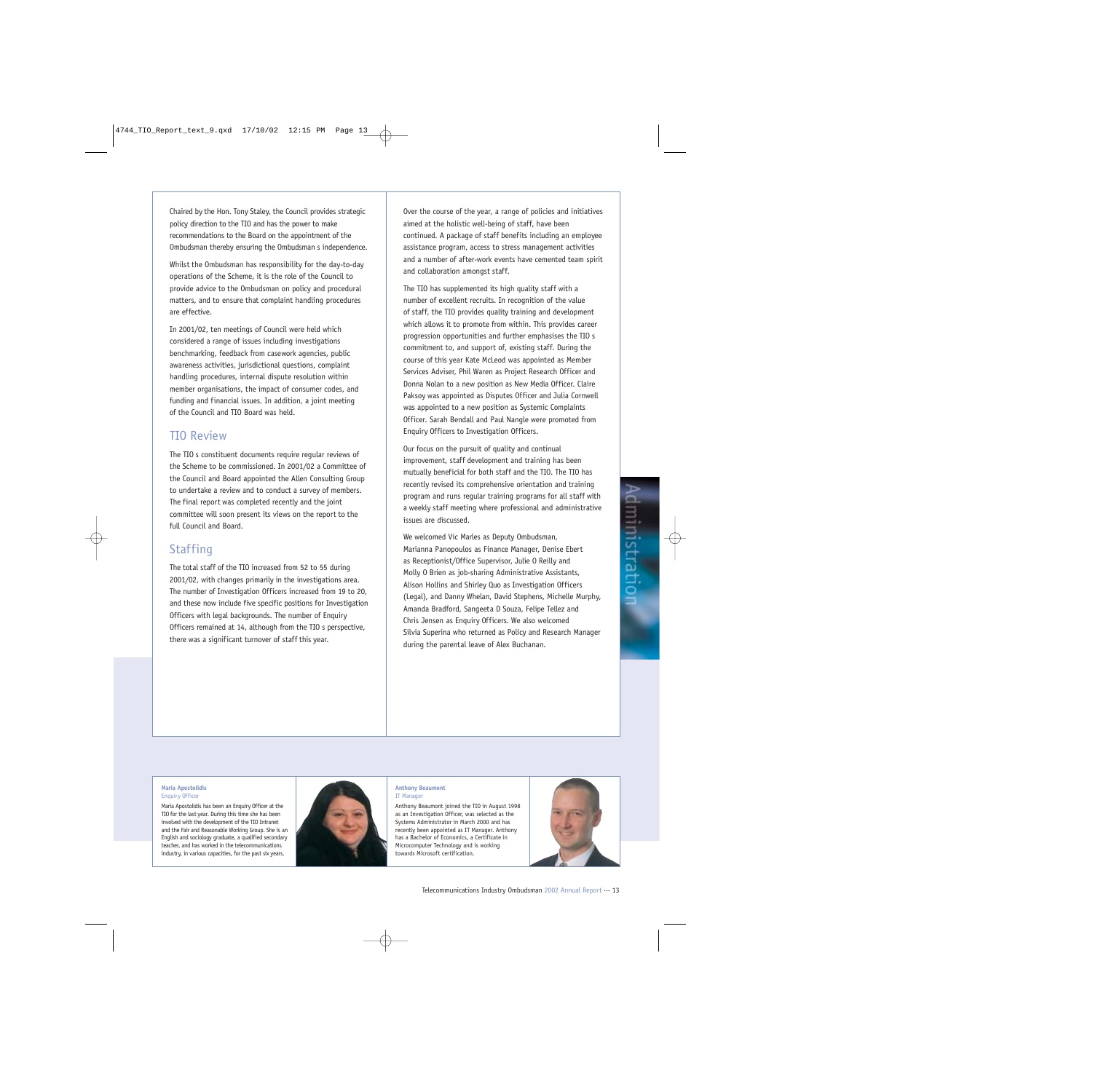Chaired by the Hon. Tony Staley, the Council provides strategic policy direction to the TIO and has the power to make recommendations to the Board on the appointment of the Ombudsman thereby ensuring the Ombudsman s independence.

Whilst the Ombudsman has responsibility for the day-to-day operations of the Scheme, it is the role of the Council to provide advice to the Ombudsman on policy and procedural matters, and to ensure that complaint handling procedures are effective.

In 2001/02, ten meetings of Council were held which considered a range of issues including investigations benchmarking, feedback from casework agencies, public awareness activities, jurisdictional questions, complaint handling procedures, internal dispute resolution within member organisations, the impact of consumer codes, and funding and financial issues. In addition, a joint meeting of the Council and TIO Board was held.

### TIO Review

The TIO s constituent documents require regular reviews of the Scheme to be commissioned. In 2001/02 a Committee of the Council and Board appointed the Allen Consulting Group to undertake a review and to conduct a survey of members. The final report was completed recently and the joint committee will soon present its views on the report to the full Council and Board.

## **Staffing**

The total staff of the TIO increased from 52 to 55 during 2001/02, with changes primarily in the investigations area. The number of Investigation Officers increased from 19 to 20, and these now include five specific positions for Investigation Officers with legal backgrounds. The number of Enquiry Officers remained at 14, although from the TIO s perspective, there was a significant turnover of staff this year.

Over the course of the year, a range of policies and initiatives aimed at the holistic well-being of staff, have been continued. A package of staff benefits including an employee assistance program, access to stress management activities and a number of after-work events have cemented team spirit and collaboration amongst staff.

The TIO has supplemented its high quality staff with a number of excellent recruits. In recognition of the value of staff, the TIO provides quality training and development which allows it to promote from within. This provides career progression opportunities and further emphasises the TIO s commitment to, and support of, existing staff. During the course of this year Kate McLeod was appointed as Member Services Adviser, Phil Waren as Project Research Officer and Donna Nolan to a new position as New Media Officer. Claire Paksoy was appointed as Disputes Officer and Julia Cornwell was appointed to a new position as Systemic Complaints Officer. Sarah Bendall and Paul Nangle were promoted from Enquiry Officers to Investigation Officers.

Our focus on the pursuit of quality and continual improvement, staff development and training has been mutually beneficial for both staff and the TIO. The TIO has recently revised its comprehensive orientation and training program and runs regular training programs for all staff with a weekly staff meeting where professional and administrative issues are discussed.

We welcomed Vic Marles as Deputy Ombudsman, Marianna Panopoulos as Finance Manager, Denise Ebert as Receptionist/Office Supervisor, Julie O Reilly and Molly O Brien as job-sharing Administrative Assistants, Alison Hollins and Shirley Quo as Investigation Officers (Legal), and Danny Whelan, David Stephens, Michelle Murphy, Amanda Bradford, Sangeeta D Souza, Felipe Tellez and Chris Jensen as Enquiry Officers. We also welcomed Silvia Superina who returned as Policy and Research Manager during the parental leave of Alex Buchanan.

#### **Maria Apostolidis** Enquiry Officer

Maria Apostolidis has been an Enquiry Officer at the TIO for the last year. During this time she has been involved with the development of the TIO Intranet and the Fair and Reasonable Working Group. She is an English and sociology graduate, a qualified secondary teacher, and has worked in the telecommunications industry, in various capacities, for the past six years.



#### **Anthony Beaumont** IT Manager

Anthony Beaumont joined the TIO in August 1998 as an Investigation Officer, was selected as the Systems Administrator in March 2000 and has recently been appointed as IT Manager. Anthony has a Bachelor of Economics, a Certificate in Microcomputer Technology and is working towards Microsoft certification.

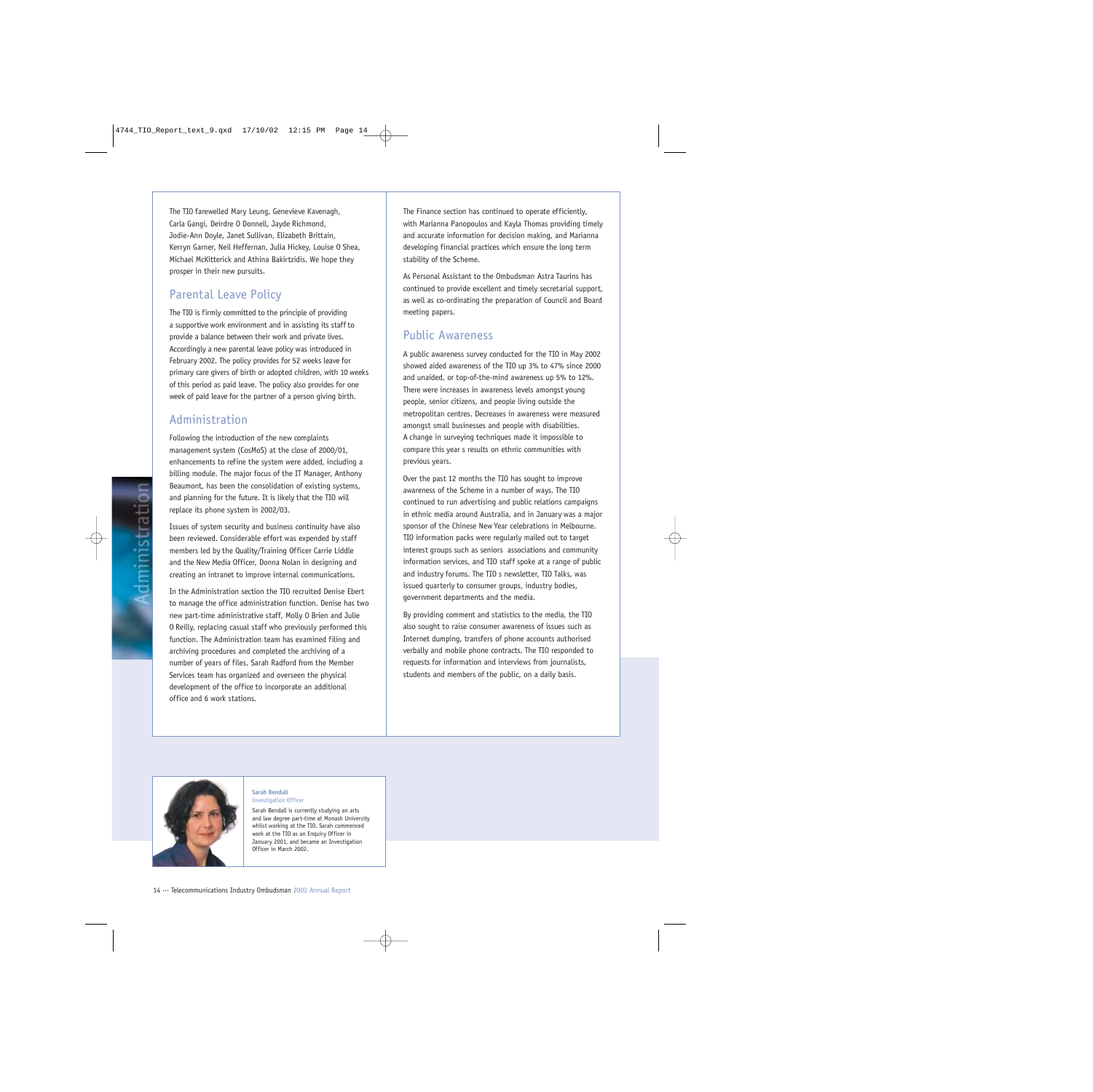The TIO farewelled Mary Leung, Genevieve Kavenagh, Carla Gangi, Deirdre O Donnell, Jayde Richmond, Jodie-Ann Doyle, Janet Sullivan, Elizabeth Brittain, Kerryn Garner, Neil Heffernan, Julia Hickey, Louise O Shea, Michael McKitterick and Athina Bakirtzidis. We hope they prosper in their new pursuits.

## Parental Leave Policy

The TIO is firmly committed to the principle of providing a supportive work environment and in assisting its staff to provide a balance between their work and private lives. Accordingly a new parental leave policy was introduced in February 2002. The policy provides for 52 weeks leave for primary care givers of birth or adopted children, with 10 weeks of this period as paid leave. The policy also provides for one week of paid leave for the partner of a person giving birth.

## Administration

Following the introduction of the new complaints management system (CosMoS) at the close of 2000/01, enhancements to refine the system were added, including a billing module. The major focus of the IT Manager, Anthony Beaumont, has been the consolidation of existing systems, and planning for the future. It is likely that the TIO will replace its phone system in 2002/03.

Issues of system security and business continuity have also been reviewed. Considerable effort was expended by staff members led by the Quality/Training Officer Carrie Liddle and the New Media Officer, Donna Nolan in designing and creating an intranet to improve internal communications.

In the Administration section the TIO recruited Denise Ebert to manage the office administration function. Denise has two new part-time administrative staff, Molly O Brien and Julie O Reilly, replacing casual staff who previously performed this function. The Administration team has examined filing and archiving procedures and completed the archiving of a number of years of files. Sarah Radford from the Member Services team has organized and overseen the physical development of the office to incorporate an additional office and 6 work stations.

The Finance section has continued to operate efficiently, with Marianna Panopoulos and Kayla Thomas providing timely and accurate information for decision making, and Marianna developing financial practices which ensure the long term stability of the Scheme.

As Personal Assistant to the Ombudsman Astra Taurins has continued to provide excellent and timely secretarial support, as well as co-ordinating the preparation of Council and Board meeting papers.

## Public Awareness

A public awareness survey conducted for the TIO in May 2002 showed aided awareness of the TIO up 3% to 47% since 2000 and unaided, or top-of-the-mind awareness up 5% to 12%. There were increases in awareness levels amongst young people, senior citizens, and people living outside the metropolitan centres. Decreases in awareness were measured amongst small businesses and people with disabilities. A change in surveying techniques made it impossible to compare this year s results on ethnic communities with previous years.

Over the past 12 months the TIO has sought to improve awareness of the Scheme in a number of ways. The TIO continued to run advertising and public relations campaigns in ethnic media around Australia, and in January was a major sponsor of the Chinese New Year celebrations in Melbourne. TIO information packs were regularly mailed out to target interest groups such as seniors associations and community information services, and TIO staff spoke at a range of public and industry forums. The TIO s newsletter, TIO Talks, was issued quarterly to consumer groups, industry bodies, government departments and the media.

By providing comment and statistics to the media, the TIO also sought to raise consumer awareness of issues such as Internet dumping, transfers of phone accounts authorised verbally and mobile phone contracts. The TIO responded to requests for information and interviews from journalists, students and members of the public, on a daily basis.



#### **Sarah Bendall** Investigation Officer

Sarah Bendall is currently studying an arts and law degree part-time at Monash University whilst working at the TIO. Sarah commenced work at the TIO as an Enquiry Officer in January 2001, and became an Investigation Officer in March 2002.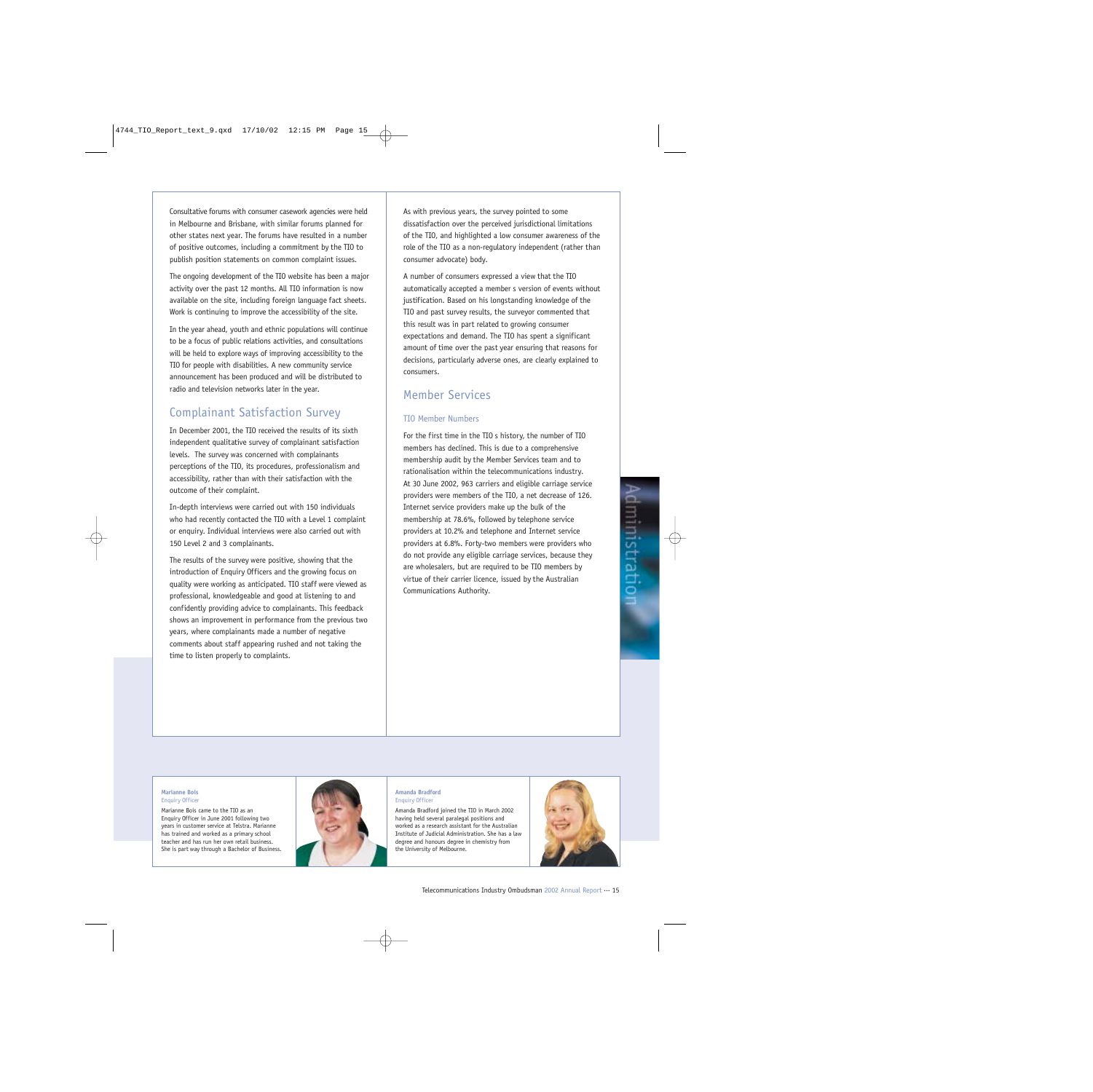Consultative forums with consumer casework agencies were held in Melbourne and Brisbane, with similar forums planned for other states next year. The forums have resulted in a number of positive outcomes, including a commitment by the TIO to publish position statements on common complaint issues.

The ongoing development of the TIO website has been a major activity over the past 12 months. All TIO information is now available on the site, including foreign language fact sheets. Work is continuing to improve the accessibility of the site.

In the year ahead, youth and ethnic populations will continue to be a focus of public relations activities, and consultations will be held to explore ways of improving accessibility to the TIO for people with disabilities. A new community service announcement has been produced and will be distributed to radio and television networks later in the year.

## Complainant Satisfaction Survey

In December 2001, the TIO received the results of its sixth independent qualitative survey of complainant satisfaction levels. The survey was concerned with complainants perceptions of the TIO, its procedures, professionalism and accessibility, rather than with their satisfaction with the outcome of their complaint.

In-depth interviews were carried out with 150 individuals who had recently contacted the TIO with a Level 1 complaint or enquiry. Individual interviews were also carried out with 150 Level 2 and 3 complainants.

The results of the survey were positive, showing that the introduction of Enquiry Officers and the growing focus on quality were working as anticipated. TIO staff were viewed as professional, knowledgeable and good at listening to and confidently providing advice to complainants. This feedback shows an improvement in performance from the previous two years, where complainants made a number of negative comments about staff appearing rushed and not taking the time to listen properly to complaints.

As with previous years, the survey pointed to some dissatisfaction over the perceived jurisdictional limitations of the TIO, and highlighted a low consumer awareness of the role of the TIO as a non-regulatory independent (rather than consumer advocate) body.

A number of consumers expressed a view that the TIO automatically accepted a member s version of events without justification. Based on his longstanding knowledge of the TIO and past survey results, the surveyor commented that this result was in part related to growing consumer expectations and demand. The TIO has spent a significant amount of time over the past year ensuring that reasons for decisions, particularly adverse ones, are clearly explained to consumers.

## Member Services

### TIO Member Numbers

For the first time in the TIO s history, the number of TIO members has declined. This is due to a comprehensive membership audit by the Member Services team and to rationalisation within the telecommunications industry. At 30 June 2002, 963 carriers and eligible carriage service providers were members of the TIO, a net decrease of 126. Internet service providers make up the bulk of the membership at 78.6%, followed by telephone service providers at 10.2% and telephone and Internet service providers at 6.8%. Forty-two members were providers who do not provide any eligible carriage services, because they are wholesalers, but are required to be TIO members by virtue of their carrier licence, issued by the Australian Communications Authority.

#### **Marianne Bois** Enquiry Officer

Marianne Bois came to the TIO as an Enquiry Officer in June 2001 following two years in customer service at Telstra. Marianne has trained and worked as a primary school teacher and has run her own retail business.

She is part way through a Bachelor of Business.



#### **Amanda Bradford Enquiry Office**

Amanda Bradford joined the TIO in March 2002 having held several paralegal positions and worked as a research assistant for the Australian Institute of Judicial Administration. She has a law degree and honours degree in chemistry from the University of Melbourne.

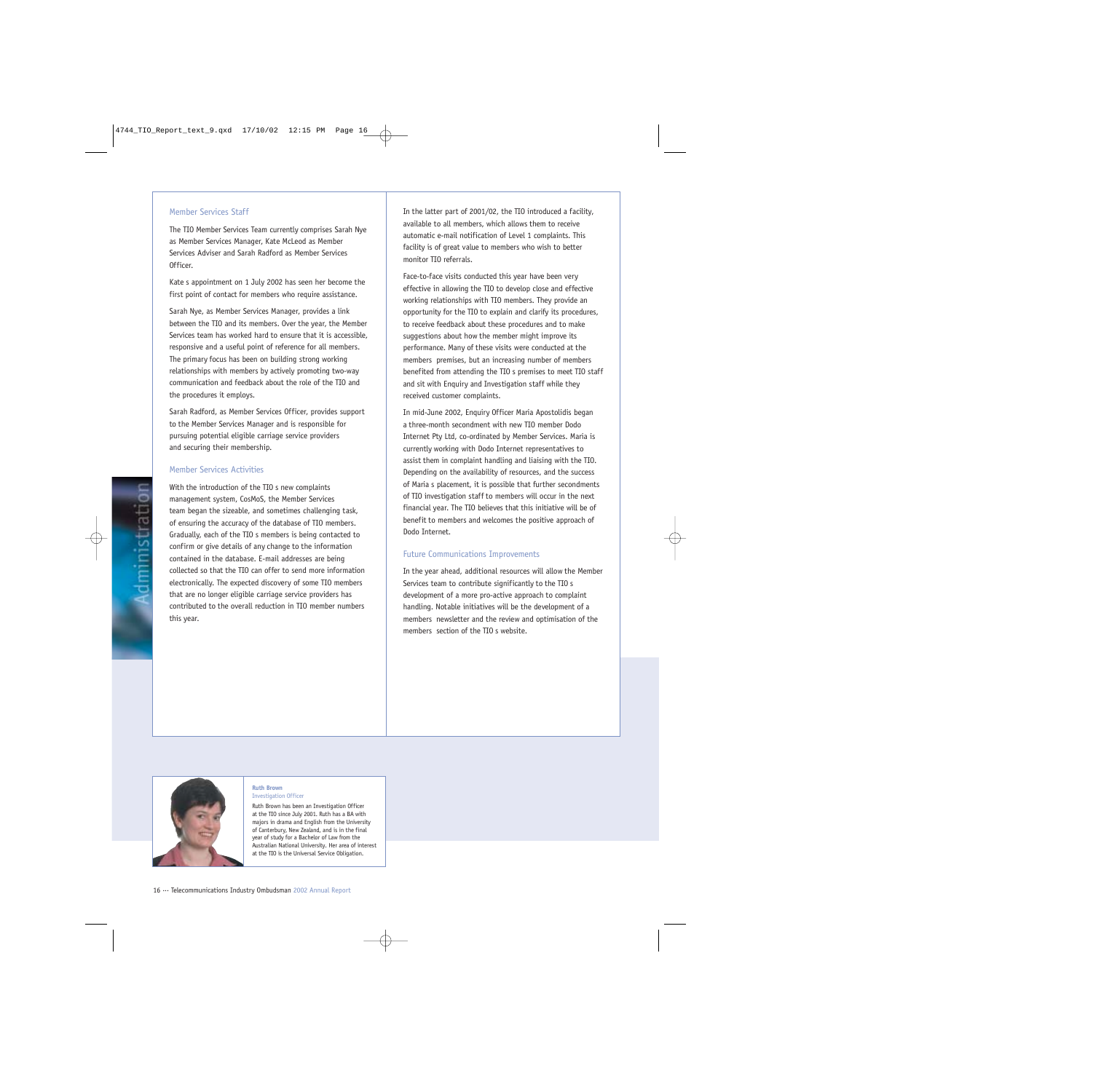#### Member Services Staff

The TIO Member Services Team currently comprises Sarah Nye as Member Services Manager, Kate McLeod as Member Services Adviser and Sarah Radford as Member Services Officer.

Kate s appointment on 1 July 2002 has seen her become the first point of contact for members who require assistance.

Sarah Nye, as Member Services Manager, provides a link between the TIO and its members. Over the year, the Member Services team has worked hard to ensure that it is accessible, responsive and a useful point of reference for all members. The primary focus has been on building strong working relationships with members by actively promoting two-way communication and feedback about the role of the TIO and the procedures it employs.

Sarah Radford, as Member Services Officer, provides support to the Member Services Manager and is responsible for pursuing potential eligible carriage service providers and securing their membership.

#### Member Services Activities

With the introduction of the TIO s new complaints management system, CosMoS, the Member Services team began the sizeable, and sometimes challenging task, of ensuring the accuracy of the database of TIO members. Gradually, each of the TIO s members is being contacted to confirm or give details of any change to the information contained in the database. E-mail addresses are being collected so that the TIO can offer to send more information electronically. The expected discovery of some TIO members that are no longer eligible carriage service providers has contributed to the overall reduction in TIO member numbers this year.

In the latter part of 2001/02, the TIO introduced a facility, available to all members, which allows them to receive automatic e-mail notification of Level 1 complaints. This facility is of great value to members who wish to better monitor TIO referrals.

Face-to-face visits conducted this year have been very effective in allowing the TIO to develop close and effective working relationships with TIO members. They provide an opportunity for the TIO to explain and clarify its procedures, to receive feedback about these procedures and to make suggestions about how the member might improve its performance. Many of these visits were conducted at the members premises, but an increasing number of members benefited from attending the TIO s premises to meet TIO staff and sit with Enquiry and Investigation staff while they received customer complaints.

In mid-June 2002, Enquiry Officer Maria Apostolidis began a three-month secondment with new TIO member Dodo Internet Pty Ltd, co-ordinated by Member Services. Maria is currently working with Dodo Internet representatives to assist them in complaint handling and liaising with the TIO. Depending on the availability of resources, and the success of Maria s placement, it is possible that further secondments of TIO investigation staff to members will occur in the next financial year. The TIO believes that this initiative will be of benefit to members and welcomes the positive approach of Dodo Internet.

#### Future Communications Improvements

In the year ahead, additional resources will allow the Member Services team to contribute significantly to the TIO s development of a more pro-active approach to complaint handling. Notable initiatives will be the development of a members newsletter and the review and optimisation of the members section of the TIO s website.



#### **Ruth Brown** Investigation Officer

Ruth Brown has been an Investigation Officer at the TIO since July 2001. Ruth has a BA with majors in drama and English from the University of Canterbury, New Zealand, and is in the final year of study for a Bachelor of Law from the Australian National University. Her area of interest at the TIO is the Universal Service Obligation.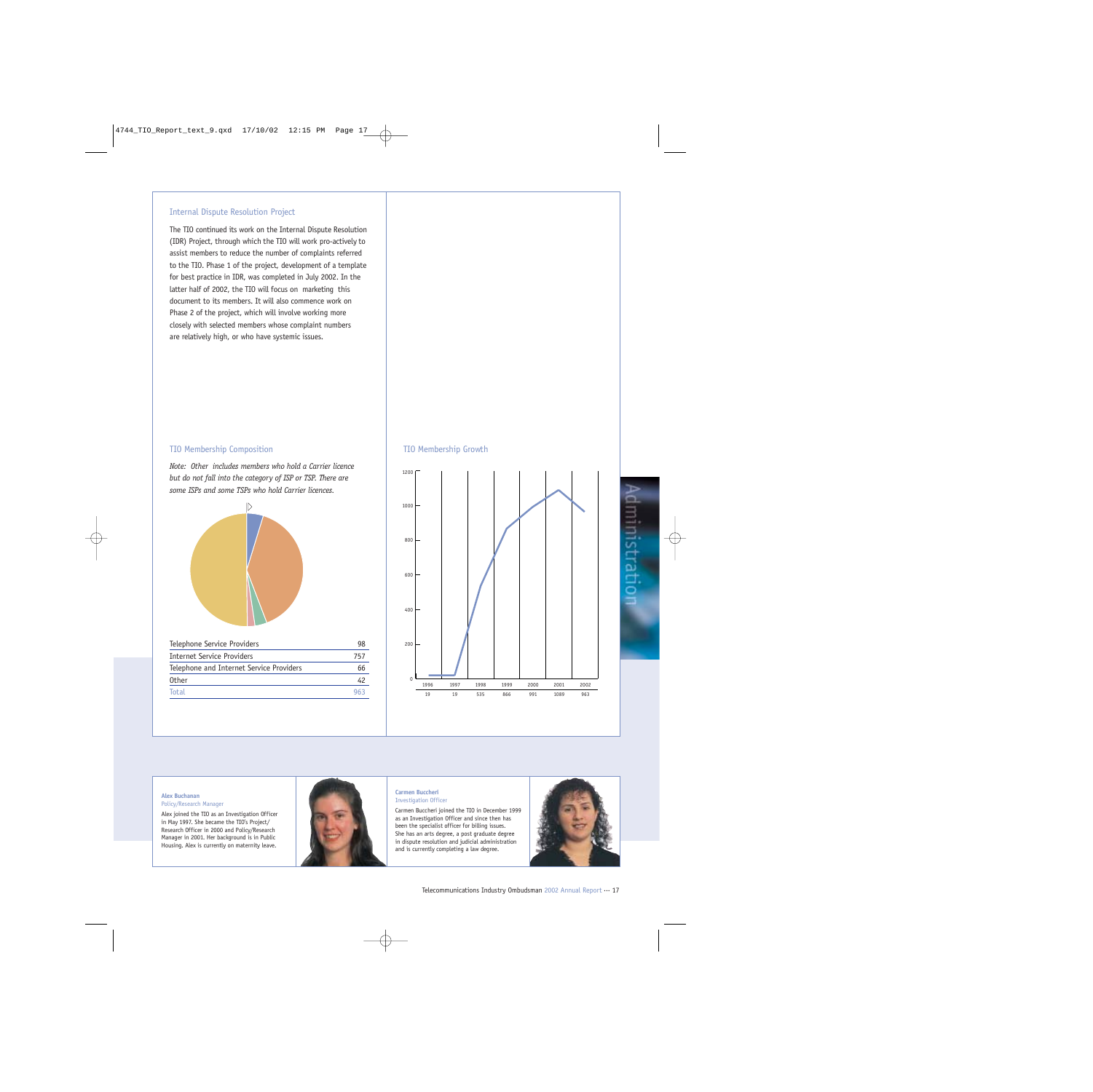### Internal Dispute Resolution Project

The TIO continued its work on the Internal Dispute Resolution (IDR) Project, through which the TIO will work pro-actively to assist members to reduce the number of complaints referred to the TIO. Phase 1 of the project, development of a template for best practice in IDR, was completed in July 2002. In the latter half of 2002, the TIO will focus on marketing this document to its members. It will also commence work on Phase 2 of the project, which will involve working more closely with selected members whose complaint numbers are relatively high, or who have systemic issues.

#### TIO Membership Composition

*Note: Other includes members who hold a Carrier licence but do not fall into the category of ISP or TSP. There are some ISPs and some TSPs who hold Carrier licences.*



Total 963

#### TIO Membership Growth



#### **Alex Buchanan** Policy/Research Manager

Alex joined the TIO as an Investigation Officer in May 1997. She became the TIO's Project/ Research Officer in 2000 and Policy/Research Manager in 2001. Her background is in Public Housing. Alex is currently on maternity leave.



#### **Carmen Buccheri** Investigation Officer

Carmen Buccheri joined the TIO in December 1999 as an Investigation Officer and since then has been the specialist officer for billing issues. She has an arts degree, a post graduate degree in dispute resolution and judicial administration and is currently completing a law degree.

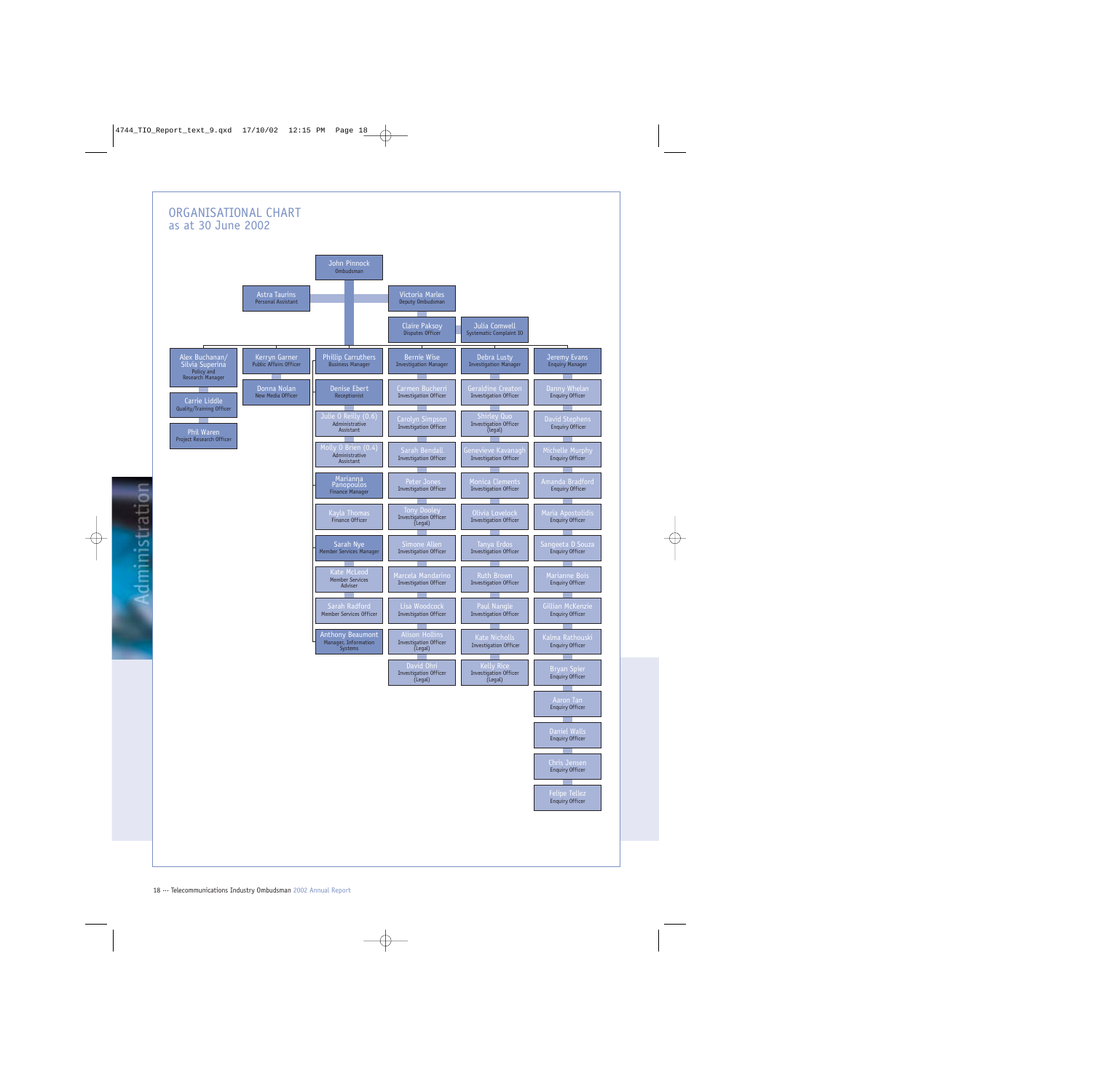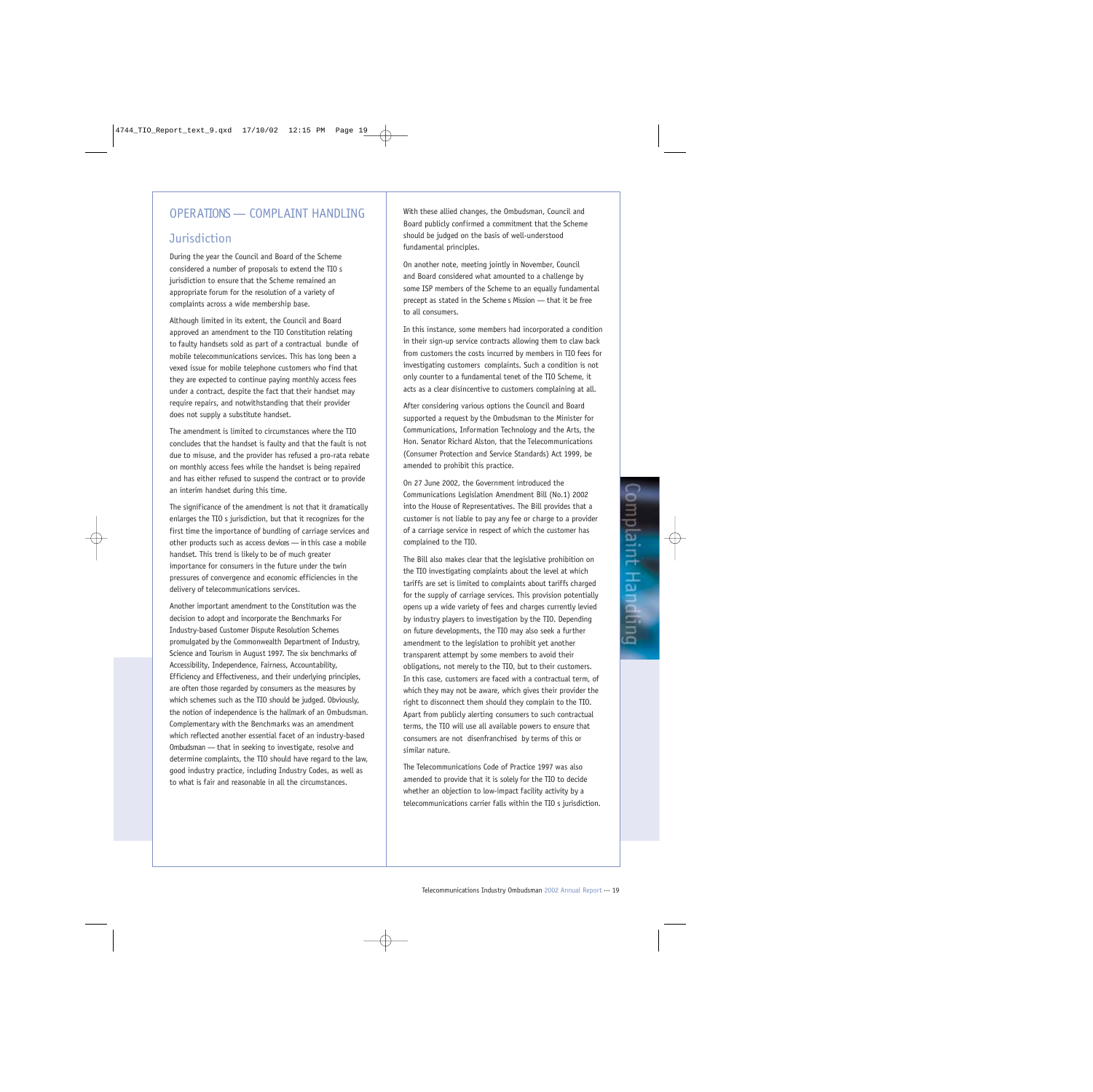## OPERATIONS — COMPLAINT HANDLING

## **Jurisdiction**

During the year the Council and Board of the Scheme considered a number of proposals to extend the TIO s jurisdiction to ensure that the Scheme remained an appropriate forum for the resolution of a variety of complaints across a wide membership base.

Although limited in its extent, the Council and Board approved an amendment to the TIO Constitution relating to faulty handsets sold as part of a contractual bundle of mobile telecommunications services. This has long been a vexed issue for mobile telephone customers who find that they are expected to continue paying monthly access fees under a contract, despite the fact that their handset may require repairs, and notwithstanding that their provider does not supply a substitute handset.

The amendment is limited to circumstances where the TIO concludes that the handset is faulty and that the fault is not due to misuse, and the provider has refused a pro-rata rebate on monthly access fees while the handset is being repaired and has either refused to suspend the contract or to provide an interim handset during this time.

The significance of the amendment is not that it dramatically enlarges the TIO s jurisdiction, but that it recognizes for the first time the importance of bundling of carriage services and other products such as access devices — in this case a mobile handset. This trend is likely to be of much greater importance for consumers in the future under the twin pressures of convergence and economic efficiencies in the delivery of telecommunications services.

Another important amendment to the Constitution was the decision to adopt and incorporate the Benchmarks For Industry-based Customer Dispute Resolution Schemes promulgated by the Commonwealth Department of Industry, Science and Tourism in August 1997. The six benchmarks of Accessibility, Independence, Fairness, Accountability, Efficiency and Effectiveness, and their underlying principles, are often those regarded by consumers as the measures by which schemes such as the TIO should be judged. Obviously, the notion of independence is the hallmark of an Ombudsman. Complementary with the Benchmarks was an amendment which reflected another essential facet of an industry-based Ombudsman — that in seeking to investigate, resolve and determine complaints, the TIO should have regard to the law, good industry practice, including Industry Codes, as well as to what is fair and reasonable in all the circumstances.

With these allied changes, the Ombudsman, Council and Board publicly confirmed a commitment that the Scheme should be judged on the basis of well-understood fundamental principles.

On another note, meeting jointly in November, Council and Board considered what amounted to a challenge by some ISP members of the Scheme to an equally fundamental precept as stated in the Scheme s Mission — that it be free to all consumers.

In this instance, some members had incorporated a condition in their sign-up service contracts allowing them to claw back from customers the costs incurred by members in TIO fees for investigating customers complaints. Such a condition is not only counter to a fundamental tenet of the TIO Scheme, it acts as a clear disincentive to customers complaining at all.

After considering various options the Council and Board supported a request by the Ombudsman to the Minister for Communications, Information Technology and the Arts, the Hon. Senator Richard Alston, that the Telecommunications (Consumer Protection and Service Standards) Act 1999, be amended to prohibit this practice.

On 27 June 2002, the Government introduced the Communications Legislation Amendment Bill (No.1) 2002 into the House of Representatives. The Bill provides that a customer is not liable to pay any fee or charge to a provider of a carriage service in respect of which the customer has complained to the TIO.

The Bill also makes clear that the legislative prohibition on the TIO investigating complaints about the level at which tariffs are set is limited to complaints about tariffs charged for the supply of carriage services. This provision potentially opens up a wide variety of fees and charges currently levied by industry players to investigation by the TIO. Depending on future developments, the TIO may also seek a further amendment to the legislation to prohibit yet another transparent attempt by some members to avoid their obligations, not merely to the TIO, but to their customers. In this case, customers are faced with a contractual term, of which they may not be aware, which gives their provider the right to disconnect them should they complain to the TIO. Apart from publicly alerting consumers to such contractual terms, the TIO will use all available powers to ensure that consumers are not disenfranchised by terms of this or similar nature.

The Telecommunications Code of Practice 1997 was also amended to provide that it is solely for the TIO to decide whether an objection to low-impact facility activity by a telecommunications carrier falls within the TIO s jurisdiction.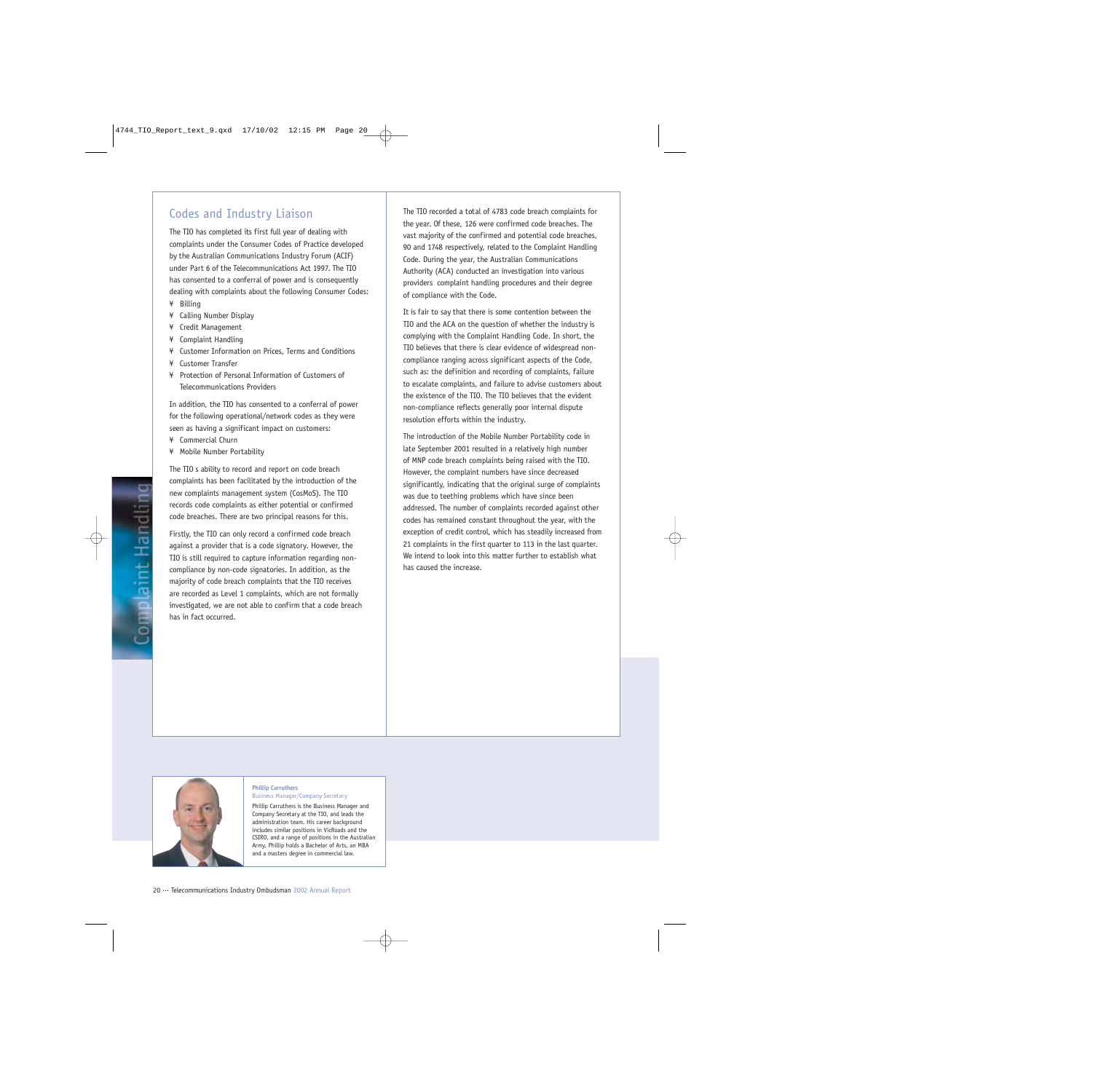### Codes and Industry Liaison

The TIO has completed its first full year of dealing with complaints under the Consumer Codes of Practice developed by the Australian Communications Industry Forum (ACIF) under Part 6 of the Telecommunications Act 1997. The TIO has consented to a conferral of power and is consequently dealing with complaints about the following Consumer Codes:

- ¥ Billing
- ¥ Calling Number Display
- ¥ Credit Management
- ¥ Complaint Handling
- ¥ Customer Information on Prices, Terms and Conditions
- ¥ Customer Transfer
- ¥ Protection of Personal Information of Customers of Telecommunications Providers

In addition, the TIO has consented to a conferral of power for the following operational/network codes as they were seen as having a significant impact on customers:

- ¥ Commercial Churn
- ¥ Mobile Number Portability

The TIO s ability to record and report on code breach complaints has been facilitated by the introduction of the new complaints management system (CosMoS). The TIO records code complaints as either potential or confirmed code breaches. There are two principal reasons for this.

Firstly, the TIO can only record a confirmed code breach against a provider that is a code signatory. However, the TIO is still required to capture information regarding noncompliance by non-code signatories. In addition, as the majority of code breach complaints that the TIO receives are recorded as Level 1 complaints, which are not formally investigated, we are not able to confirm that a code breach has in fact occurred.

The TIO recorded a total of 4783 code breach complaints for the year. Of these, 126 were confirmed code breaches. The vast majority of the confirmed and potential code breaches, 90 and 1748 respectively, related to the Complaint Handling Code. During the year, the Australian Communications Authority (ACA) conducted an investigation into various providers complaint handling procedures and their degree of compliance with the Code.

It is fair to say that there is some contention between the TIO and the ACA on the question of whether the industry is complying with the Complaint Handling Code. In short, the TIO believes that there is clear evidence of widespread noncompliance ranging across significant aspects of the Code, such as: the definition and recording of complaints, failure to escalate complaints, and failure to advise customers about the existence of the TIO. The TIO believes that the evident non-compliance reflects generally poor internal dispute resolution efforts within the industry.

The introduction of the Mobile Number Portability code in late September 2001 resulted in a relatively high number of MNP code breach complaints being raised with the TIO. However, the complaint numbers have since decreased significantly, indicating that the original surge of complaints was due to teething problems which have since been addressed. The number of complaints recorded against other codes has remained constant throughout the year, with the exception of credit control, which has steadily increased from 21 complaints in the first quarter to 113 in the last quarter. We intend to look into this matter further to establish what has caused the increase.



#### **Phillip Carruthers**

Business Manager/Company Secretary Phillip Carruthers is the Business Manager and Company Secretary at the TIO, and leads the administration team. His career background includes similar positions in VicRoads and the CSIRO, and a range of positions in the Australian Army. Phillip holds a Bachelor of Arts, an MBA and a masters degree in commercial law.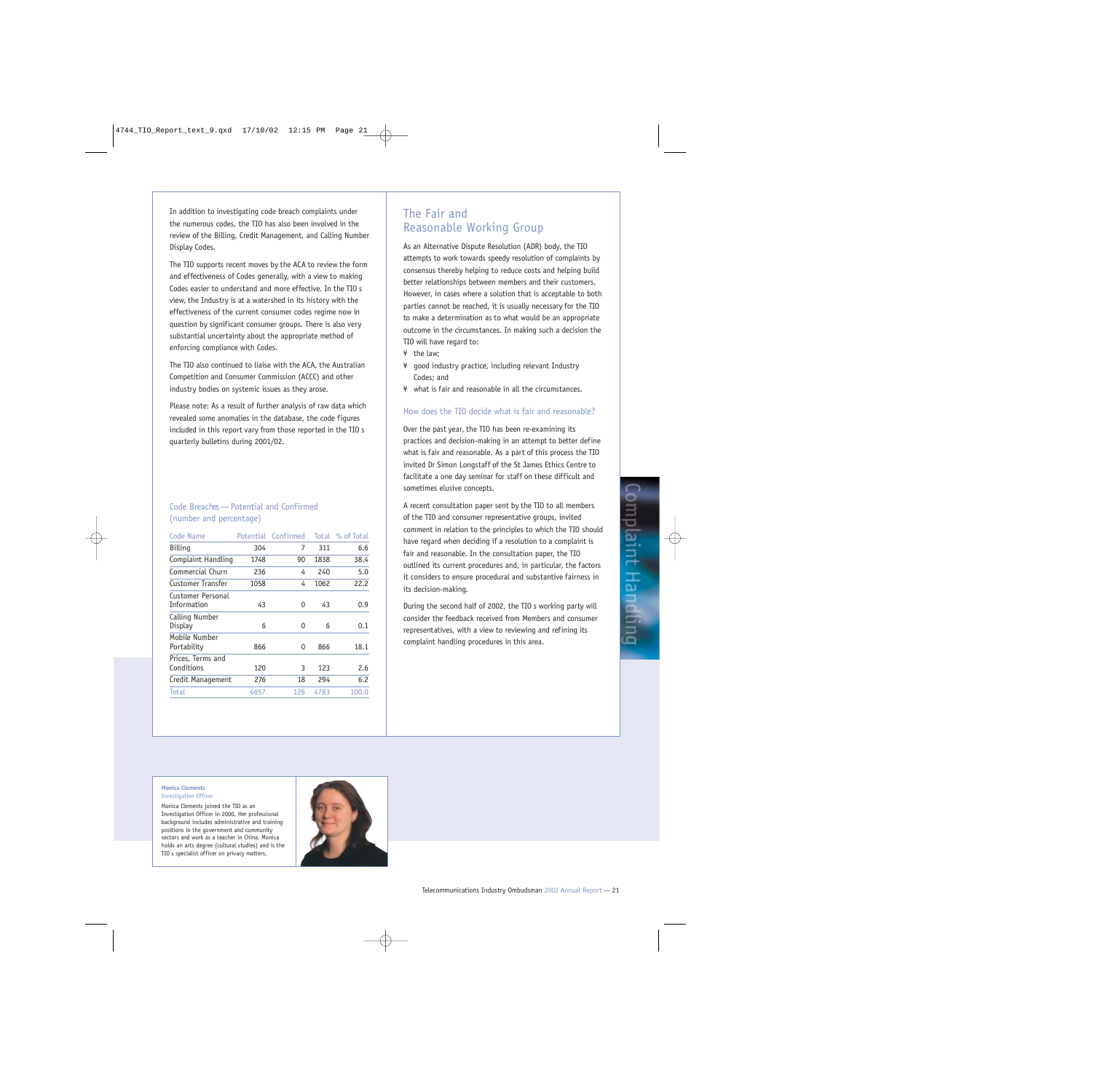In addition to investigating code breach complaints under the numerous codes, the TIO has also been involved in the review of the Billing, Credit Management, and Calling Number Display Codes.

The TIO supports recent moves by the ACA to review the form and effectiveness of Codes generally, with a view to making Codes easier to understand and more effective. In the TIO s view, the Industry is at a watershed in its history with the effectiveness of the current consumer codes regime now in question by significant consumer groups. There is also very substantial uncertainty about the appropriate method of enforcing compliance with Codes.

The TIO also continued to liaise with the ACA, the Australian Competition and Consumer Commission (ACCC) and other industry bodies on systemic issues as they arose.

Please note: As a result of further analysis of raw data which revealed some anomalies in the database, the code figures included in this report vary from those reported in the TIO s quarterly bulletins during 2001/02.

### Code Breaches — Potential and Confirmed (number and percentage)

| <b>Code Name</b>                 | Potential | Confirmed | Total | % of Total |
|----------------------------------|-----------|-----------|-------|------------|
| Billing                          | 304       | 7         | 311   | 6.6        |
| Complaint Handling               | 1748      | 90        | 1838  | 38.4       |
| Commercial Churn                 | 236       | 4         | 240   | 5.0        |
| Customer Transfer                | 1058      | 4         | 1062  | 22.2       |
| Customer Personal<br>Information | 43        | 0         | 43    | 0.9        |
| Calling Number<br>Display        | 6         | 0         | 6     | 0.1        |
| Mobile Number<br>Portability     | 866       | 0         | 866   | 18.1       |
| Prices, Terms and<br>Conditions  | 120       | 3         | 123   | 2.6        |
| Credit Management                | 276       | 18        | 294   | 6.2        |
| Total                            | 4657      | 126       | 4783  | 100.0      |

## The Fair and Reasonable Working Group

As an Alternative Dispute Resolution (ADR) body, the TIO attempts to work towards speedy resolution of complaints by consensus thereby helping to reduce costs and helping build better relationships between members and their customers. However, in cases where a solution that is acceptable to both parties cannot be reached, it is usually necessary for the TIO to make a determination as to what would be an appropriate outcome in the circumstances. In making such a decision the TIO will have regard to:

- ¥ the law;
- ¥ good industry practice, including relevant Industry Codes; and
- ¥ what is fair and reasonable in all the circumstances.

### How does the TIO decide what is fair and reasonable?

Over the past year, the TIO has been re-examining its practices and decision-making in an attempt to better define what is fair and reasonable. As a part of this process the TIO invited Dr Simon Longstaff of the St James Ethics Centre to facilitate a one day seminar for staff on these difficult and sometimes elusive concepts.

A recent consultation paper sent by the TIO to all members of the TIO and consumer representative groups, invited comment in relation to the principles to which the TIO should have regard when deciding if a resolution to a complaint is fair and reasonable. In the consultation paper, the TIO outlined its current procedures and, in particular, the factors it considers to ensure procedural and substantive fairness in its decision-making.

During the second half of 2002, the TIO s working party will consider the feedback received from Members and consumer representatives, with a view to reviewing and refining its complaint handling procedures in this area.

### **Monica Clements**

Investigation Officer

Monica Clements joined the TIO as an Investigation Officer in 2000. Her professional background includes administrative and training positions in the government and community sectors and work as a teacher in China. Monica holds an arts degree (cultural studies) and is the TIO s specialist officer on privacy matters.

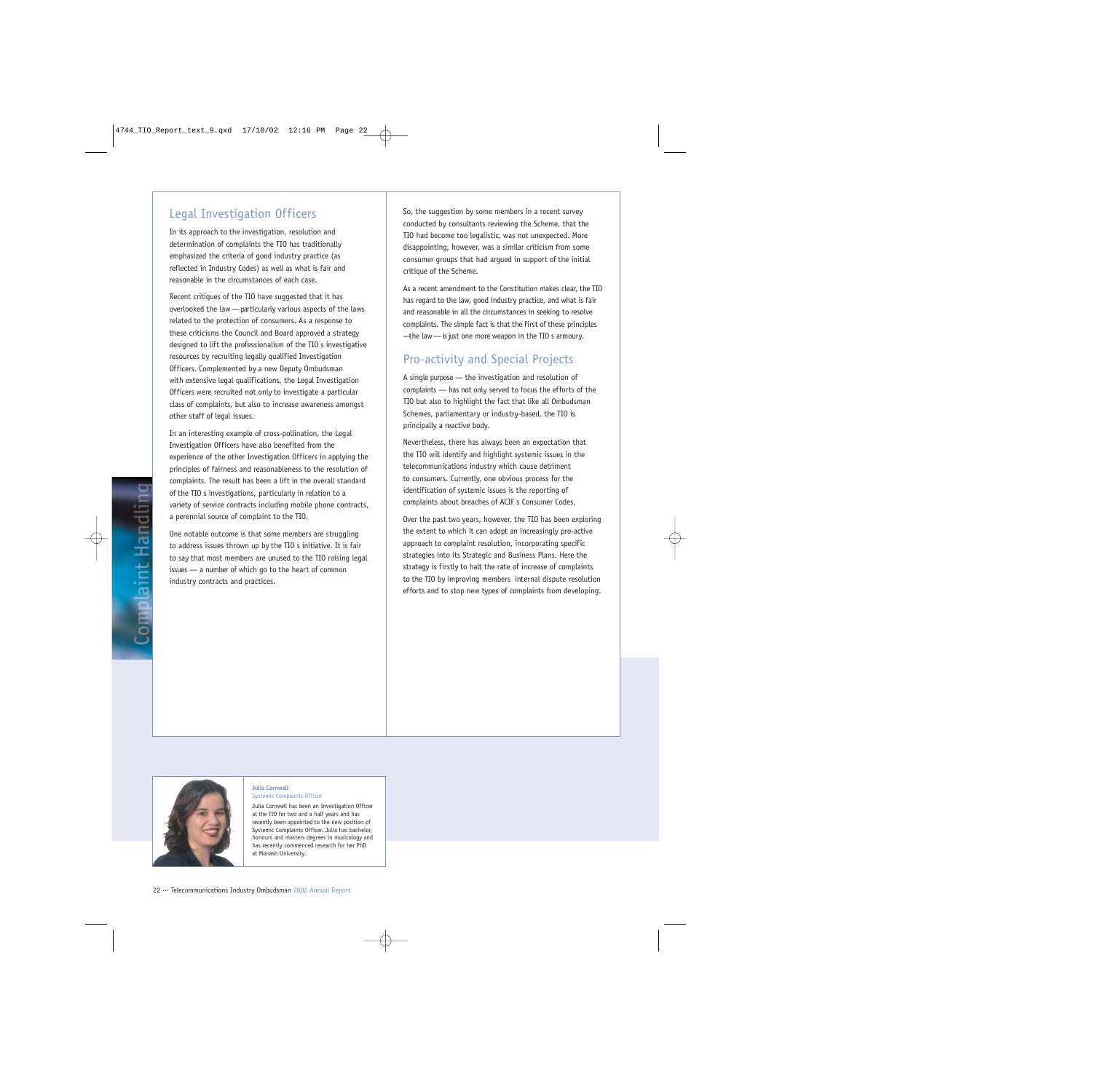## Legal Investigation Officers

In its approach to the investigation, resolution and determination of complaints the TIO has traditionally emphasized the criteria of good industry practice (as reflected in Industry Codes) as well as what is fair and reasonable in the circumstances of each case.

Recent critiques of the TIO have suggested that it has overlooked the law — particularly various aspects of the laws related to the protection of consumers. As a response to these criticisms the Council and Board approved a strategy designed to lift the professionalism of the TIO s investigative resources by recruiting legally qualified Investigation Officers. Complemented by a new Deputy Ombudsman with extensive legal qualifications, the Legal Investigation Officers were recruited not only to investigate a particular class of complaints, but also to increase awareness amongst other staff of legal issues.

In an interesting example of cross-pollination, the Legal Investigation Officers have also benefited from the experience of the other Investigation Officers in applying the principles of fairness and reasonableness to the resolution of complaints. The result has been a lift in the overall standard of the TIO s investigations, particularly in relation to a variety of service contracts including mobile phone contracts, a perennial source of complaint to the TIO.

One notable outcome is that some members are struggling to address issues thrown up by the TIO s initiative. It is fair to say that most members are unused to the TIO raising legal issues — a number of which go to the heart of common industry contracts and practices.

So, the suggestion by some members in a recent survey conducted by consultants reviewing the Scheme, that the TIO had become too legalistic, was not unexpected. More disappointing, however, was a similar criticism from some consumer groups that had argued in support of the initial critique of the Scheme.

As a recent amendment to the Constitution makes clear, the TIO has regard to the law, good industry practice, and what is fair and reasonable in all the circumstances in seeking to resolve complaints. The simple fact is that the first of these principles —the law — is just one more weapon in the TIO s armoury.

## Pro-activity and Special Projects

A single purpose — the investigation and resolution of complaints — has not only served to focus the efforts of the TIO but also to highlight the fact that like all Ombudsman Schemes, parliamentary or industry-based, the TIO is principally a reactive body.

Nevertheless, there has always been an expectation that the TIO will identify and highlight systemic issues in the telecommunications industry which cause detriment to consumers. Currently, one obvious process for the identification of systemic issues is the reporting of complaints about breaches of ACIF s Consumer Codes.

Over the past two years, however, the TIO has been exploring the extent to which it can adopt an increasingly pro-active approach to complaint resolution, incorporating specific strategies into its Strategic and Business Plans. Here the strategy is firstly to halt the rate of increase of complaints to the TIO by improving members internal dispute resolution efforts and to stop new types of complaints from developing.



#### **Julia Cornwell** Systemic Complaints Officer

Julia Cornwell has been an Investigation Officer at the TIO for two and a half years and has recently been appointed to the new position of Systemic Complaints Officer. Julia has bachelor, honours and masters degrees in musicology and has recently commenced research for her PhD at Monash University.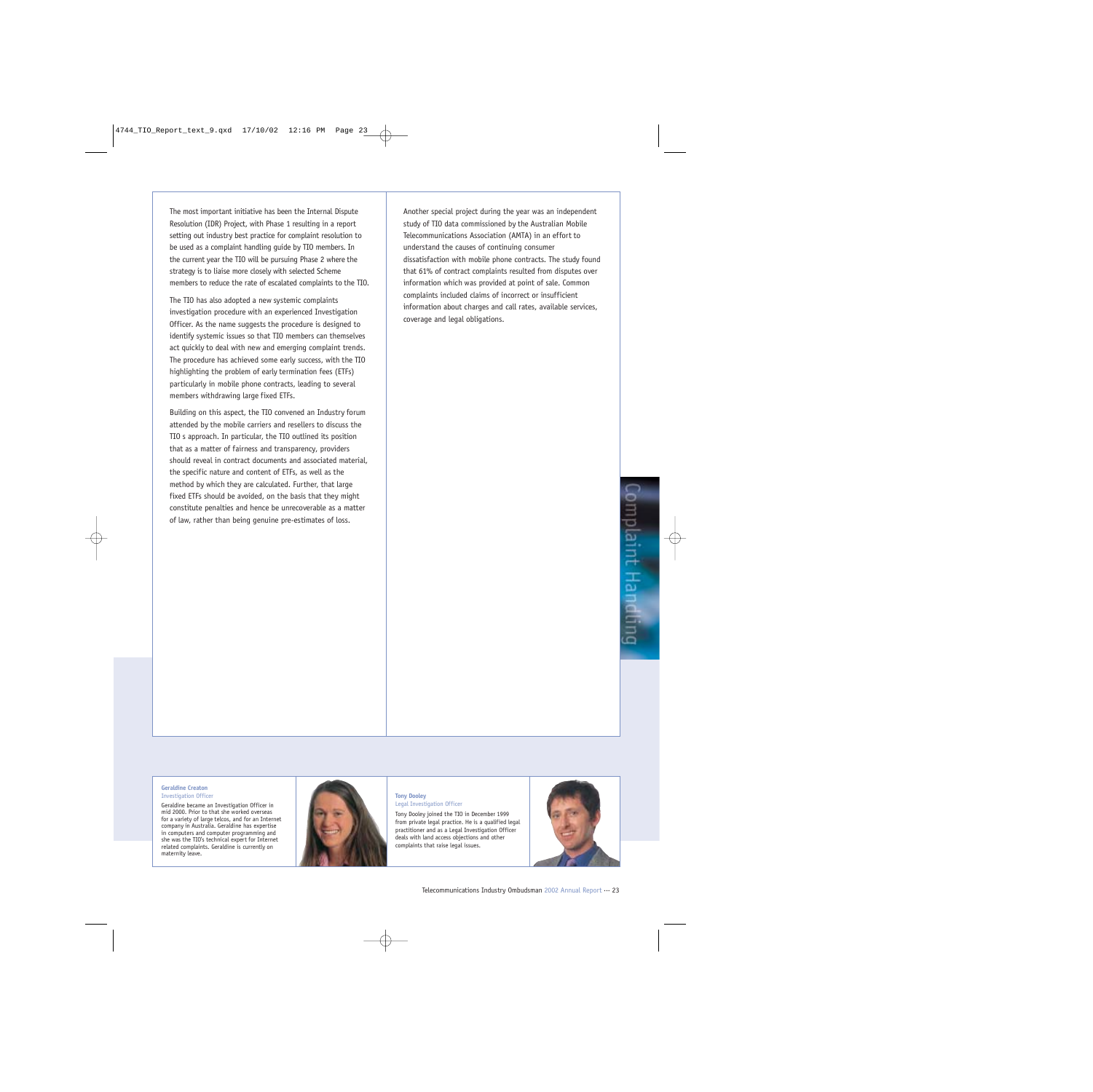The most important initiative has been the Internal Dispute Resolution (IDR) Project, with Phase 1 resulting in a report setting out industry best practice for complaint resolution to be used as a complaint handling guide by TIO members. In the current year the TIO will be pursuing Phase 2 where the strategy is to liaise more closely with selected Scheme members to reduce the rate of escalated complaints to the TIO.

The TIO has also adopted a new systemic complaints investigation procedure with an experienced Investigation Officer. As the name suggests the procedure is designed to identify systemic issues so that TIO members can themselves act quickly to deal with new and emerging complaint trends. The procedure has achieved some early success, with the TIO highlighting the problem of early termination fees (ETFs) particularly in mobile phone contracts, leading to several members withdrawing large fixed ETFs.

Building on this aspect, the TIO convened an Industry forum attended by the mobile carriers and resellers to discuss the TIO s approach. In particular, the TIO outlined its position that as a matter of fairness and transparency, providers should reveal in contract documents and associated material, the specific nature and content of ETFs, as well as the method by which they are calculated. Further, that large fixed ETFs should be avoided, on the basis that they might constitute penalties and hence be unrecoverable as a matter of law, rather than being genuine pre-estimates of loss.

Another special project during the year was an independent study of TIO data commissioned by the Australian Mobile Telecommunications Association (AMTA) in an effort to understand the causes of continuing consumer dissatisfaction with mobile phone contracts. The study found that 61% of contract complaints resulted from disputes over information which was provided at point of sale. Common complaints included claims of incorrect or insufficient information about charges and call rates, available services, coverage and legal obligations.

#### **Geraldine Creaton** Investigation Officer

Geraldine became an Investigation Officer in mid 2000. Prior to that she worked overseas for a variety of large telcos, and for an Internet company in Australia. Geraldine has expertise in computers and computer programming and she was the TIO's technical expert for Internet related complaints. Geraldine is currently on maternity leave.



#### **Tony Dooley** Legal Investigation Officer

Tony Dooley joined the TIO in December 1999 from private legal practice. He is a qualified legal practitioner and as a Legal Investigation Officer deals with land access objections and other complaints that raise legal issues.

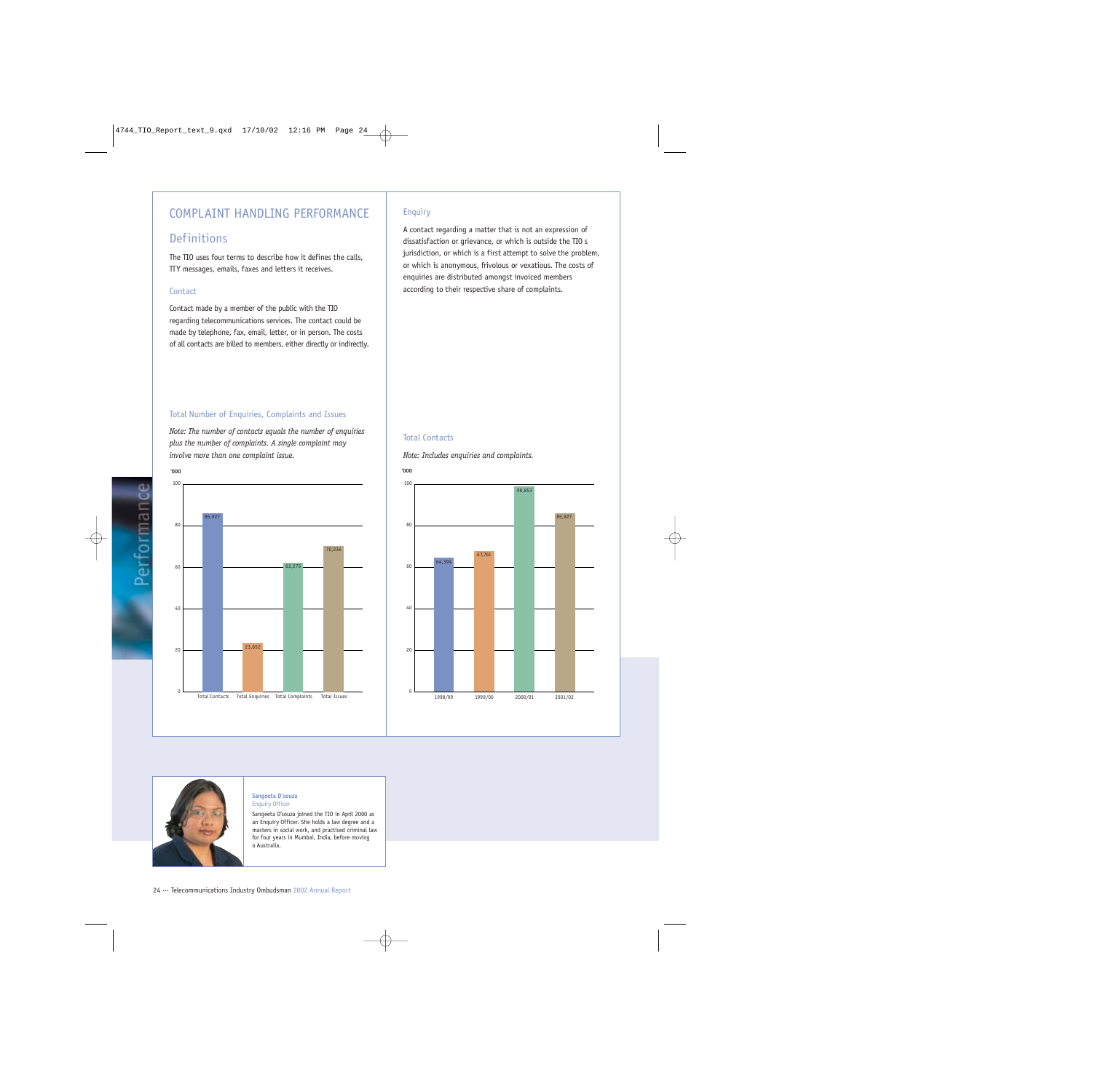## COMPLAINT HANDLING PERFORMANCE

## **Definitions**

The TIO uses four terms to describe how it defines the calls, TTY messages, emails, faxes and letters it receives.

### **Contact**

Contact made by a member of the public with the TIO regarding telecommunications services. The contact could be made by telephone, fax, email, letter, or in person. The costs of all contacts are billed to members, either directly or indirectly.

### Total Number of Enquiries, Complaints and Issues

*Note: The number of contacts equals the number of enquiries plus the number of complaints. A single complaint may involve more than one complaint issue.*



### Enquiry

A contact regarding a matter that is not an expression of dissatisfaction or grievance, or which is outside the TIO s jurisdiction, or which is a first attempt to solve the problem, or which is anonymous, frivolous or vexatious. The costs of enquiries are distributed amongst invoiced members according to their respective share of complaints.

### Total Contacts

*Note: Includes enquiries and complaints.*





#### **Sangeeta D'souza** Enquiry Officer

Sangeeta D'souza joined the TIO in April 2000 as an Enquiry Officer. She holds a law degree and a masters in social work, and practised criminal law for four years in Mumbai, India, before moving o Australia.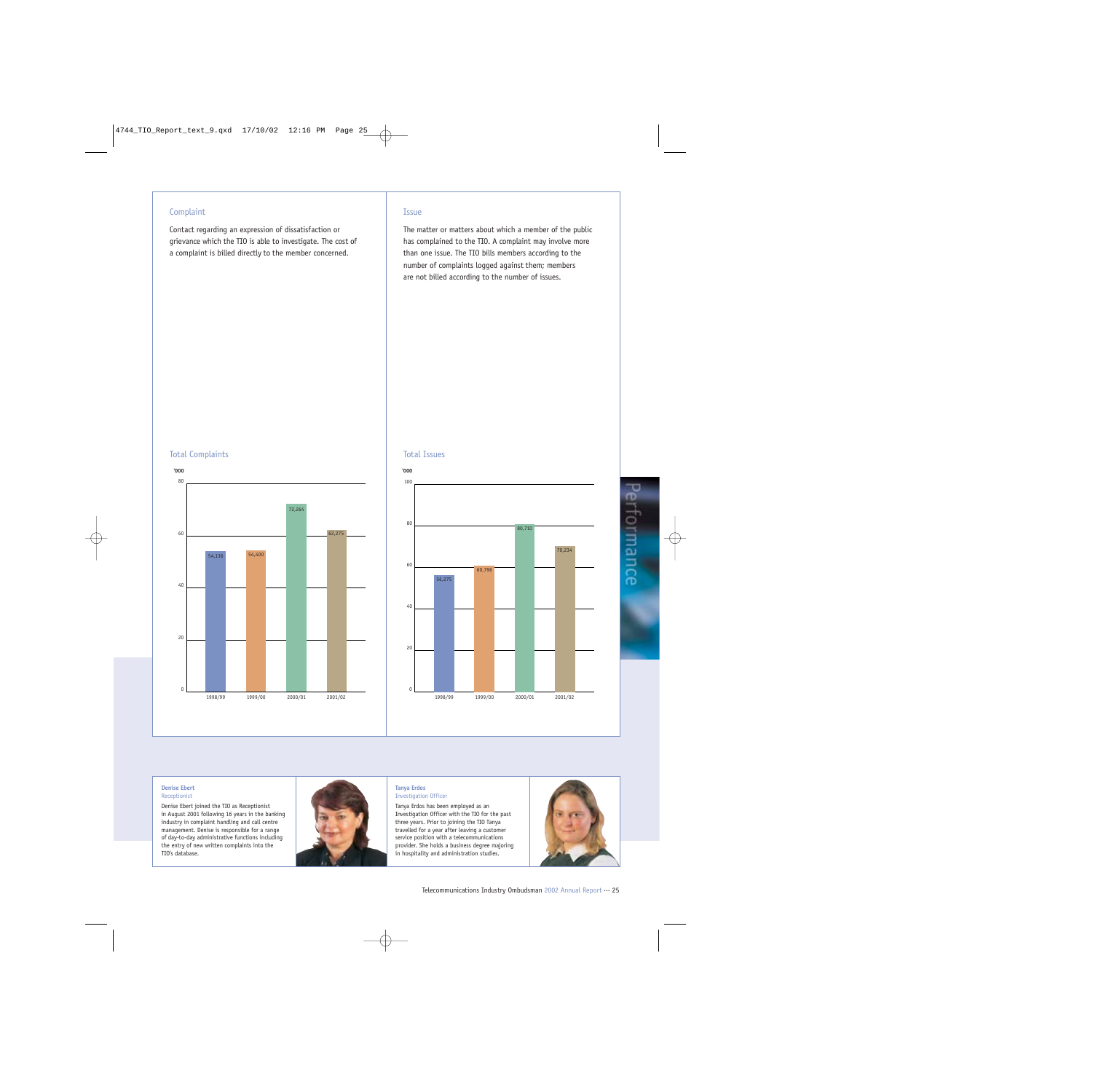### **Complaint**

Contact regarding an expression of dissatisfaction or grievance which the TIO is able to investigate. The cost of a complaint is billed directly to the member concerned.

### Issue

The matter or matters about which a member of the public has complained to the TIO. A complaint may involve more than one issue. The TIO bills members according to the number of complaints logged against them; members are not billed according to the number of issues.

### Total Complaints



### Total Issues



#### **Denise Ebert** Receptionist

Denise Ebert joined the TIO as Receptionist in August 2001 following 16 years in the banking industry in complaint handling and call centre management. Denise is responsible for a range of day-to-day administrative functions including the entry of new written complaints into the TIO's database.



#### **Tanya Erdos** Investigation Officer

Tanya Erdos has been employed as an Investigation Officer with the TIO for the past three years. Prior to joining the TIO Tanya travelled for a year after leaving a customer service position with a telecommunications provider. She holds a business degree majoring in hospitality and administration studies.



Performance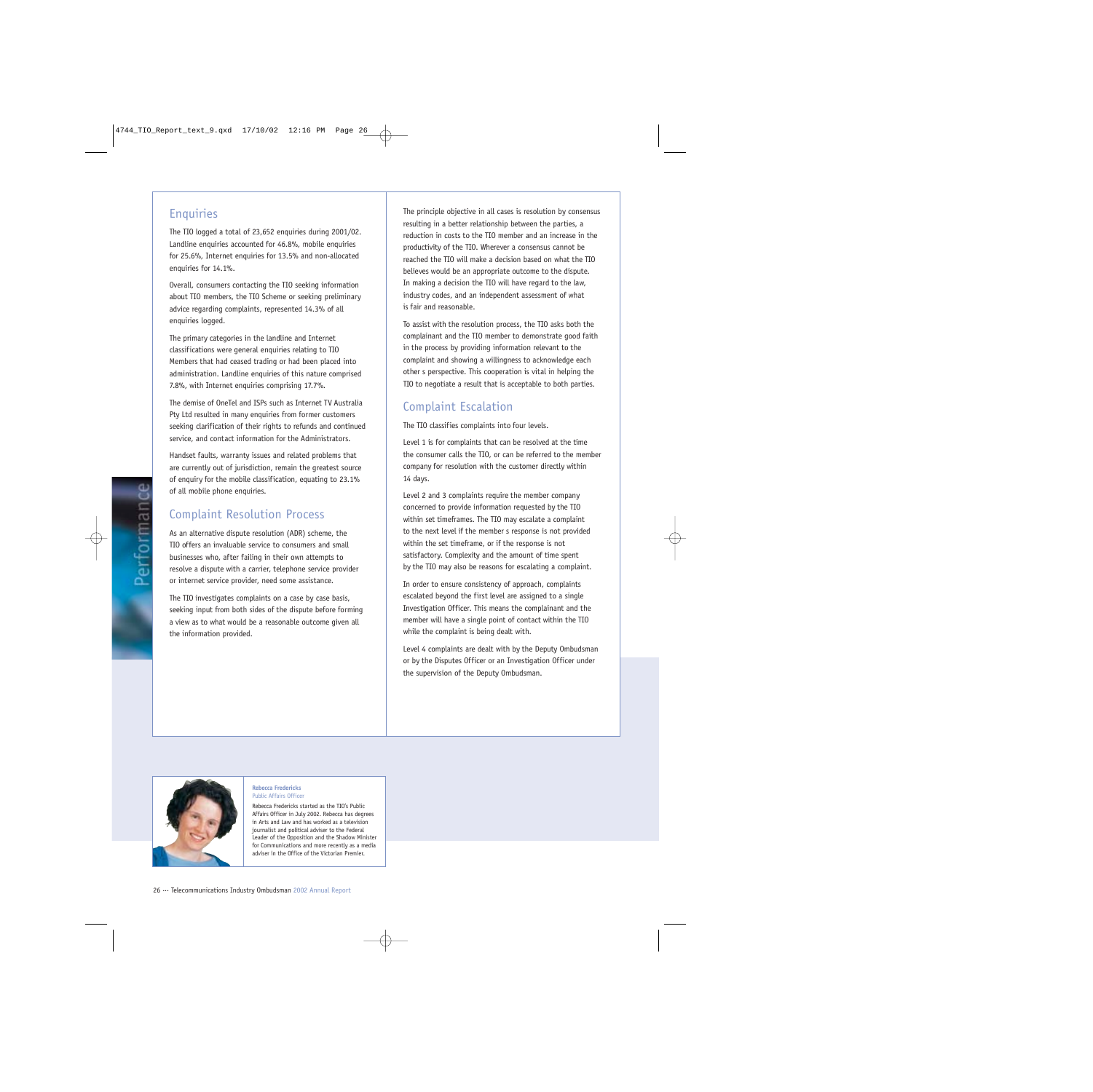### **Enquiries**

The TIO logged a total of 23,652 enquiries during 2001/02. Landline enquiries accounted for 46.8%, mobile enquiries for 25.6%, Internet enquiries for 13.5% and non-allocated enquiries for 14.1%.

Overall, consumers contacting the TIO seeking information about TIO members, the TIO Scheme or seeking preliminary advice regarding complaints, represented 14.3% of all enquiries logged.

The primary categories in the landline and Internet classifications were general enquiries relating to TIO Members that had ceased trading or had been placed into administration. Landline enquiries of this nature comprised 7.8%, with Internet enquiries comprising 17.7%.

The demise of OneTel and ISPs such as Internet TV Australia Pty Ltd resulted in many enquiries from former customers seeking clarification of their rights to refunds and continued service, and contact information for the Administrators.

Handset faults, warranty issues and related problems that are currently out of jurisdiction, remain the greatest source of enquiry for the mobile classification, equating to 23.1% of all mobile phone enquiries.

## Complaint Resolution Process

As an alternative dispute resolution (ADR) scheme, the TIO offers an invaluable service to consumers and small businesses who, after failing in their own attempts to resolve a dispute with a carrier, telephone service provider or internet service provider, need some assistance.

The TIO investigates complaints on a case by case basis, seeking input from both sides of the dispute before forming a view as to what would be a reasonable outcome given all the information provided.

The principle objective in all cases is resolution by consensus resulting in a better relationship between the parties, a reduction in costs to the TIO member and an increase in the productivity of the TIO. Wherever a consensus cannot be reached the TIO will make a decision based on what the TIO believes would be an appropriate outcome to the dispute. In making a decision the TIO will have regard to the law, industry codes, and an independent assessment of what is fair and reasonable.

To assist with the resolution process, the TIO asks both the complainant and the TIO member to demonstrate good faith in the process by providing information relevant to the complaint and showing a willingness to acknowledge each other s perspective. This cooperation is vital in helping the TIO to negotiate a result that is acceptable to both parties.

### Complaint Escalation

The TIO classifies complaints into four levels.

Level 1 is for complaints that can be resolved at the time the consumer calls the TIO, or can be referred to the member company for resolution with the customer directly within 14 days.

Level 2 and 3 complaints require the member company concerned to provide information requested by the TIO within set timeframes. The TIO may escalate a complaint to the next level if the member s response is not provided within the set timeframe, or if the response is not satisfactory. Complexity and the amount of time spent by the TIO may also be reasons for escalating a complaint.

In order to ensure consistency of approach, complaints escalated beyond the first level are assigned to a single Investigation Officer. This means the complainant and the member will have a single point of contact within the TIO while the complaint is being dealt with.

Level 4 complaints are dealt with by the Deputy Ombudsman or by the Disputes Officer or an Investigation Officer under the supervision of the Deputy Ombudsman.



#### **Rebecca Fredericks** Public Affairs Officer

Rebecca Fredericks started as the TIO's Public Affairs Officer in July 2002. Rebecca has degrees in Arts and Law and has worked as a television journalist and political adviser to the Federal Leader of the Opposition and the Shadow Minister for Communications and more recently as a media adviser in the Office of the Victorian Premier.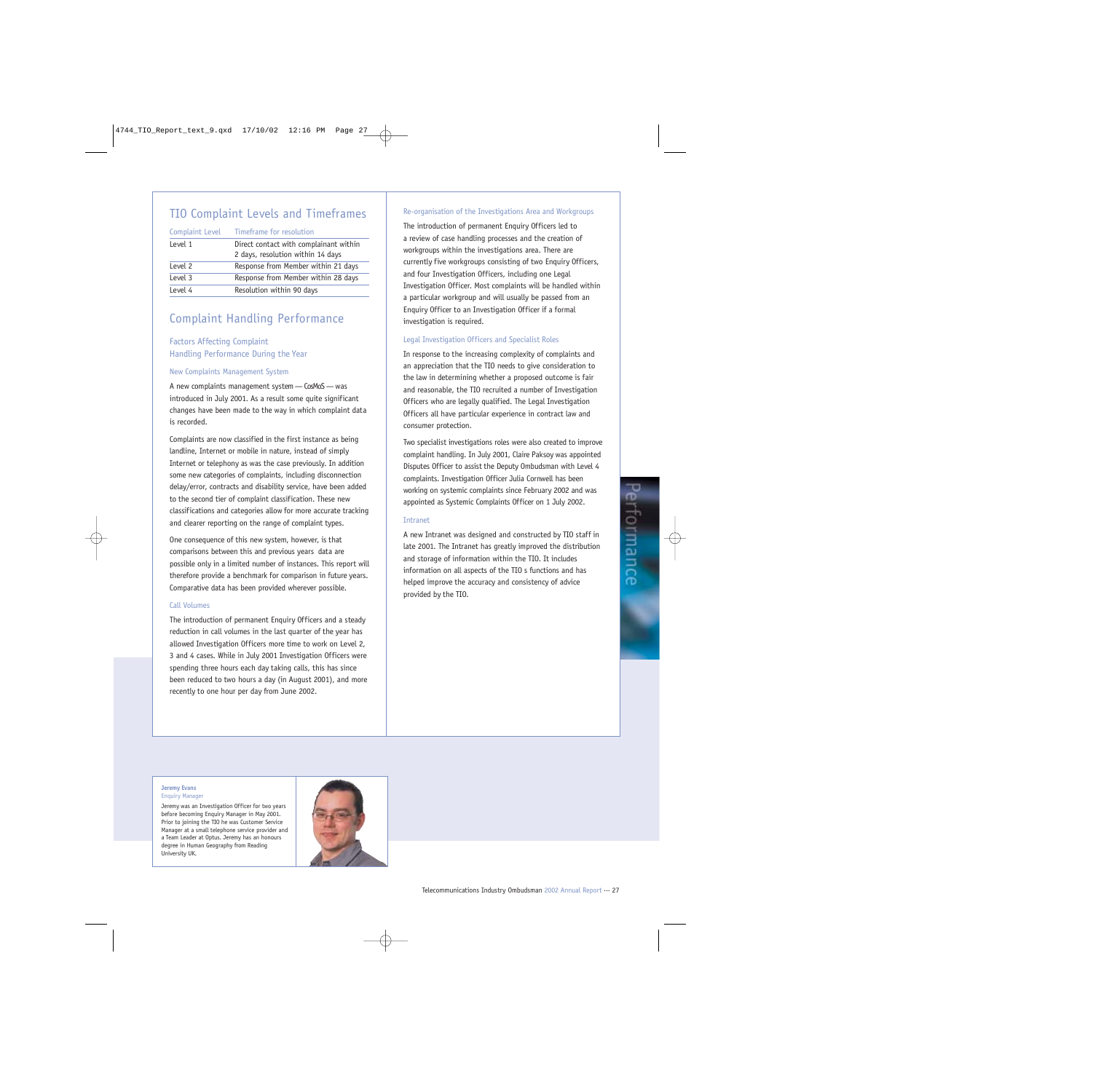## TIO Complaint Levels and Timeframes

Complaint Level Timeframe for resolution

| Level 1 | Direct contact with complainant within<br>2 days, resolution within 14 days |
|---------|-----------------------------------------------------------------------------|
| Level 2 | Response from Member within 21 days                                         |
| Level 3 | Response from Member within 28 days                                         |
| Level 4 | Resolution within 90 days                                                   |

## Complaint Handling Performance

### Factors Affecting Complaint Handling Performance During the Year

#### New Complaints Management System

A new complaints management system — CosMoS — was introduced in July 2001. As a result some quite significant changes have been made to the way in which complaint data is recorded.

Complaints are now classified in the first instance as being landline, Internet or mobile in nature, instead of simply Internet or telephony as was the case previously. In addition some new categories of complaints, including disconnection delay/error, contracts and disability service, have been added to the second tier of complaint classification. These new classifications and categories allow for more accurate tracking and clearer reporting on the range of complaint types.

One consequence of this new system, however, is that comparisons between this and previous years data are possible only in a limited number of instances. This report will therefore provide a benchmark for comparison in future years. Comparative data has been provided wherever possible.

#### Call Volumes

The introduction of permanent Enquiry Officers and a steady reduction in call volumes in the last quarter of the year has allowed Investigation Officers more time to work on Level 2, 3 and 4 cases. While in July 2001 Investigation Officers were spending three hours each day taking calls, this has since been reduced to two hours a day (in August 2001), and more recently to one hour per day from June 2002.

#### Re-organisation of the Investigations Area and Workgroups

The introduction of permanent Enquiry Officers led to a review of case handling processes and the creation of workgroups within the investigations area. There are currently five workgroups consisting of two Enquiry Officers, and four Investigation Officers, including one Legal Investigation Officer. Most complaints will be handled within a particular workgroup and will usually be passed from an Enquiry Officer to an Investigation Officer if a formal investigation is required.

#### Legal Investigation Officers and Specialist Roles

In response to the increasing complexity of complaints and an appreciation that the TIO needs to give consideration to the law in determining whether a proposed outcome is fair and reasonable, the TIO recruited a number of Investigation Officers who are legally qualified. The Legal Investigation Officers all have particular experience in contract law and consumer protection.

Two specialist investigations roles were also created to improve complaint handling. In July 2001, Claire Paksoy was appointed Disputes Officer to assist the Deputy Ombudsman with Level 4 complaints. Investigation Officer Julia Cornwell has been working on systemic complaints since February 2002 and was appointed as Systemic Complaints Officer on 1 July 2002.

#### Intranet

A new Intranet was designed and constructed by TIO staff in late 2001. The Intranet has greatly improved the distribution and storage of information within the TIO. It includes information on all aspects of the TIO s functions and has helped improve the accuracy and consistency of advice provided by the TIO.

#### **Jeremy Evans** Enquiry Manager

Jeremy was an Investigation Officer for two years before becoming Enquiry Manager in May 2001. Prior to joining the TIO he was Customer Service Manager at a small telephone service provider and a Team Leader at Optus. Jeremy has an honours degree in Human Geography from Reading University UK.

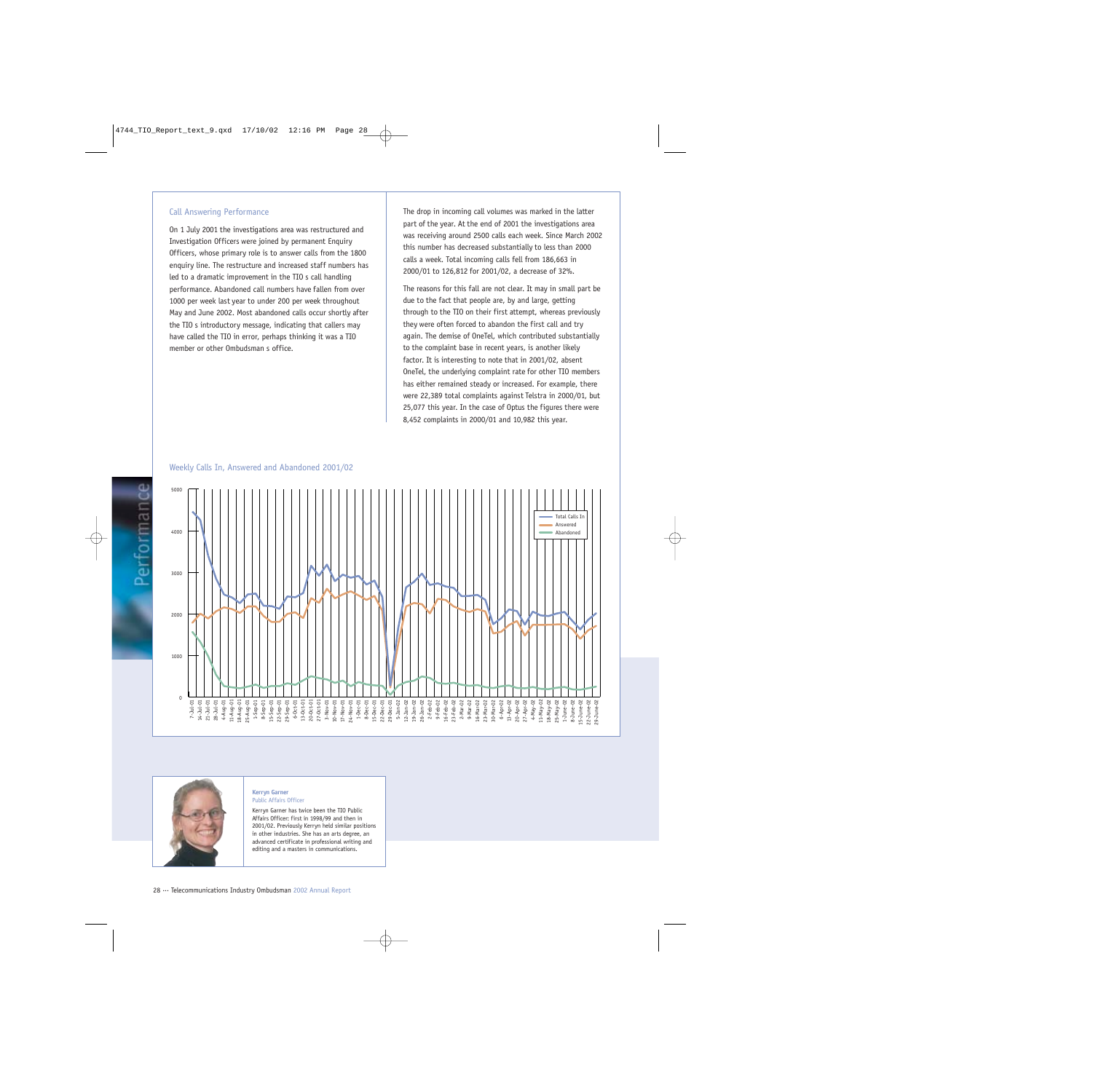#### Call Answering Performance

On 1 July 2001 the investigations area was restructured and Investigation Officers were joined by permanent Enquiry Officers, whose primary role is to answer calls from the 1800 enquiry line. The restructure and increased staff numbers has led to a dramatic improvement in the TIO s call handling performance. Abandoned call numbers have fallen from over 1000 per week last year to under 200 per week throughout May and June 2002. Most abandoned calls occur shortly after the TIO s introductory message, indicating that callers may have called the TIO in error, perhaps thinking it was a TIO member or other Ombudsman s office.

The drop in incoming call volumes was marked in the latter part of the year. At the end of 2001 the investigations area was receiving around 2500 calls each week. Since March 2002 this number has decreased substantially to less than 2000 calls a week. Total incoming calls fell from 186,663 in 2000/01 to 126,812 for 2001/02, a decrease of 32%.

The reasons for this fall are not clear. It may in small part be due to the fact that people are, by and large, getting through to the TIO on their first attempt, whereas previously they were often forced to abandon the first call and try again. The demise of OneTel, which contributed substantially to the complaint base in recent years, is another likely factor. It is interesting to note that in 2001/02, absent OneTel, the underlying complaint rate for other TIO members has either remained steady or increased. For example, there were 22,389 total complaints against Telstra in 2000/01, but 25,077 this year. In the case of Optus the figures there were 8,452 complaints in 2000/01 and 10,982 this year.

#### 5000 Total Calls In Answered 4000 Abandoned 3000 2000 1000  $\Omega$ 18-May-02 25-May-02 1-June-02 8-June-02 5-June-02 2-June-02 9-June-02 11-Aug-01 18-Aug-01 25-Aug-01 1-Sep-01 8-Sep-01 15-Sep-01 22-Sep-01 29-Sep-01 6-Oct-01 13-Oct-01 20-Oct-01 27-Oct-01 3-Nov-01 1-Dec-01 8-Dec-01 5-Jan-02 2-Feb-02 9-Feb-02 16-Feb-02 23-Feb-02 2-Mar-02 9-Mar-02 6-Apr-02 13-Apr-02 20-Apr-02 27-Apr-02 10-Nov-01 17-Nov-01 24-Nov-01 15-Dec-01 22-Dec-01 29-Dec-01 4-May-02 11-May-02 15-June-02 22-June-02 29-June-02 7-Jul-01 14-Jul-01 21-Jul-01 28-Jul-01 4-Aug-01 12-Jan-02 19-Jan-02 26-Jan-02 16-Mar-02 23-Mar-02 30-Mar-02 1-June-02 8-June-02

### Weekly Calls In, Answered and Abandoned 2001/02



#### **Kerryn Garner** Public Affairs Officer

Kerryn Garner has twice been the TIO Public Affairs Officer: first in 1998/99 and then in 2001/02. Previously Kerryn held similar positions in other industries. She has an arts degree, an advanced certificate in professional writing and editing and a masters in communications.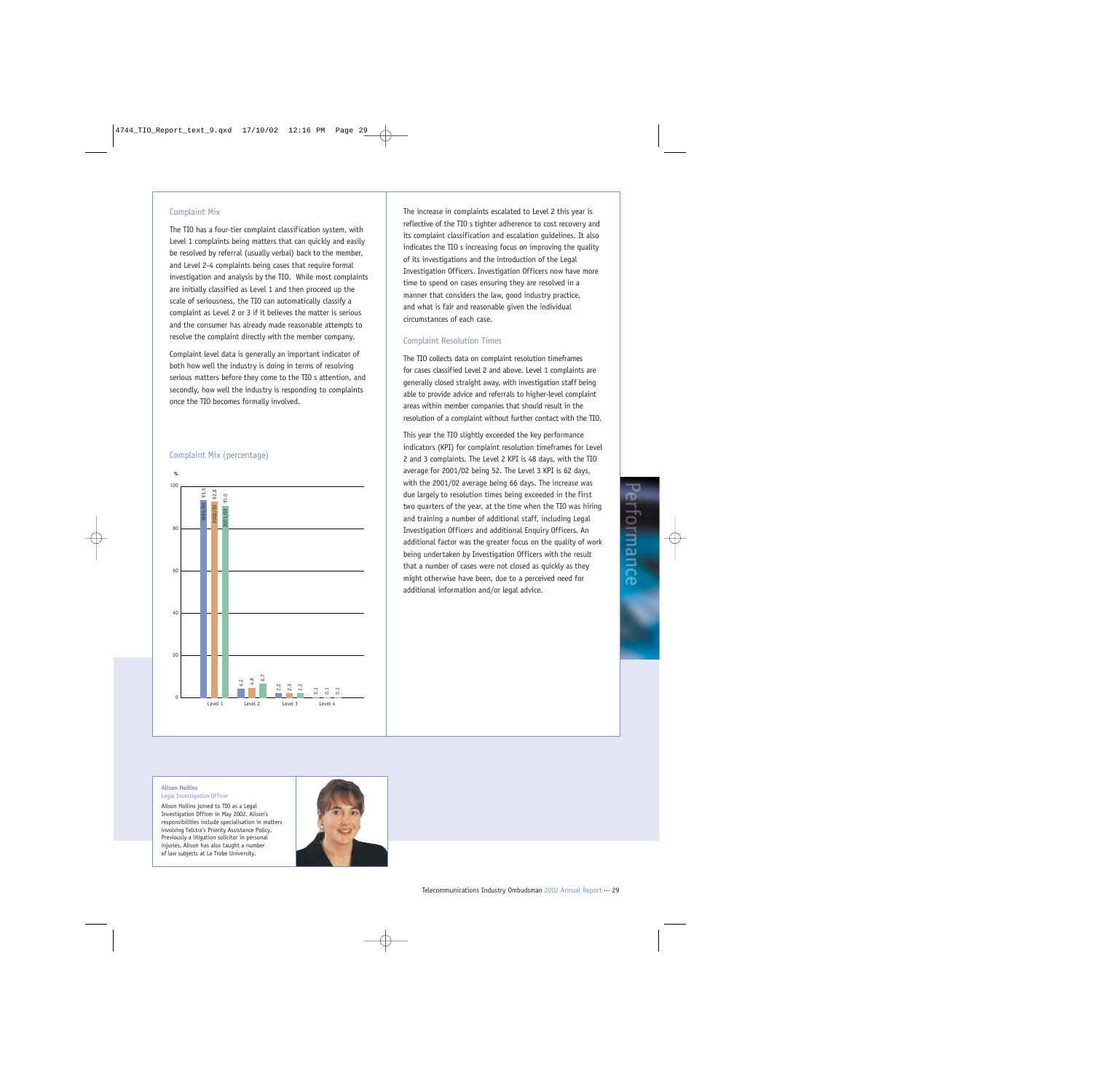#### Complaint Mix

The TIO has a four-tier complaint classification system, with Level 1 complaints being matters that can quickly and easily be resolved by referral (usually verbal) back to the member, and Level 2-4 complaints being cases that require formal investigation and analysis by the TIO. While most complaints are initially classified as Level 1 and then proceed up the scale of seriousness, the TIO can automatically classify a complaint as Level 2 or 3 if it believes the matter is serious and the consumer has already made reasonable attempts to resolve the complaint directly with the member company.

Complaint level data is generally an important indicator of both how well the industry is doing in terms of resolving serious matters before they come to the TIO s attention, and secondly, how well the industry is responding to complaints once the TIO becomes formally involved.

#### Complaint Mix (percentage)



The increase in complaints escalated to Level 2 this year is reflective of the TIO s tighter adherence to cost recovery and its complaint classification and escalation guidelines. It also indicates the TIO s increasing focus on improving the quality of its investigations and the introduction of the Legal Investigation Officers. Investigation Officers now have more time to spend on cases ensuring they are resolved in a manner that considers the law, good industry practice, and what is fair and reasonable given the individual circumstances of each case.

#### Complaint Resolution Times

The TIO collects data on complaint resolution timeframes for cases classified Level 2 and above. Level 1 complaints are generally closed straight away, with investigation staff being able to provide advice and referrals to higher-level complaint areas within member companies that should result in the resolution of a complaint without further contact with the TIO.

This year the TIO slightly exceeded the key performance indicators (KPI) for complaint resolution timeframes for Level 2 and 3 complaints. The Level 2 KPI is 48 days, with the TIO average for 2001/02 being 52. The Level 3 KPI is 62 days, with the 2001/02 average being 66 days. The increase was due largely to resolution times being exceeded in the first two quarters of the year, at the time when the TIO was hiring and training a number of additional staff, including Legal Investigation Officers and additional Enquiry Officers. An additional factor was the greater focus on the quality of work being undertaken by Investigation Officers with the result that a number of cases were not closed as quickly as they might otherwise have been, due to a perceived need for additional information and/or legal advice.

#### **Alison Hollins**

Legal Investigation Officer

Alison Hollins joined to TIO as a Legal Investigation Officer in May 2002. Alison's responsibilities include specialisation in matters involving Telstra's Priority Assistance Policy. Previously a litigation solicitor in personal injuries, Alison has also taught a number of law subjects at La Trobe University.

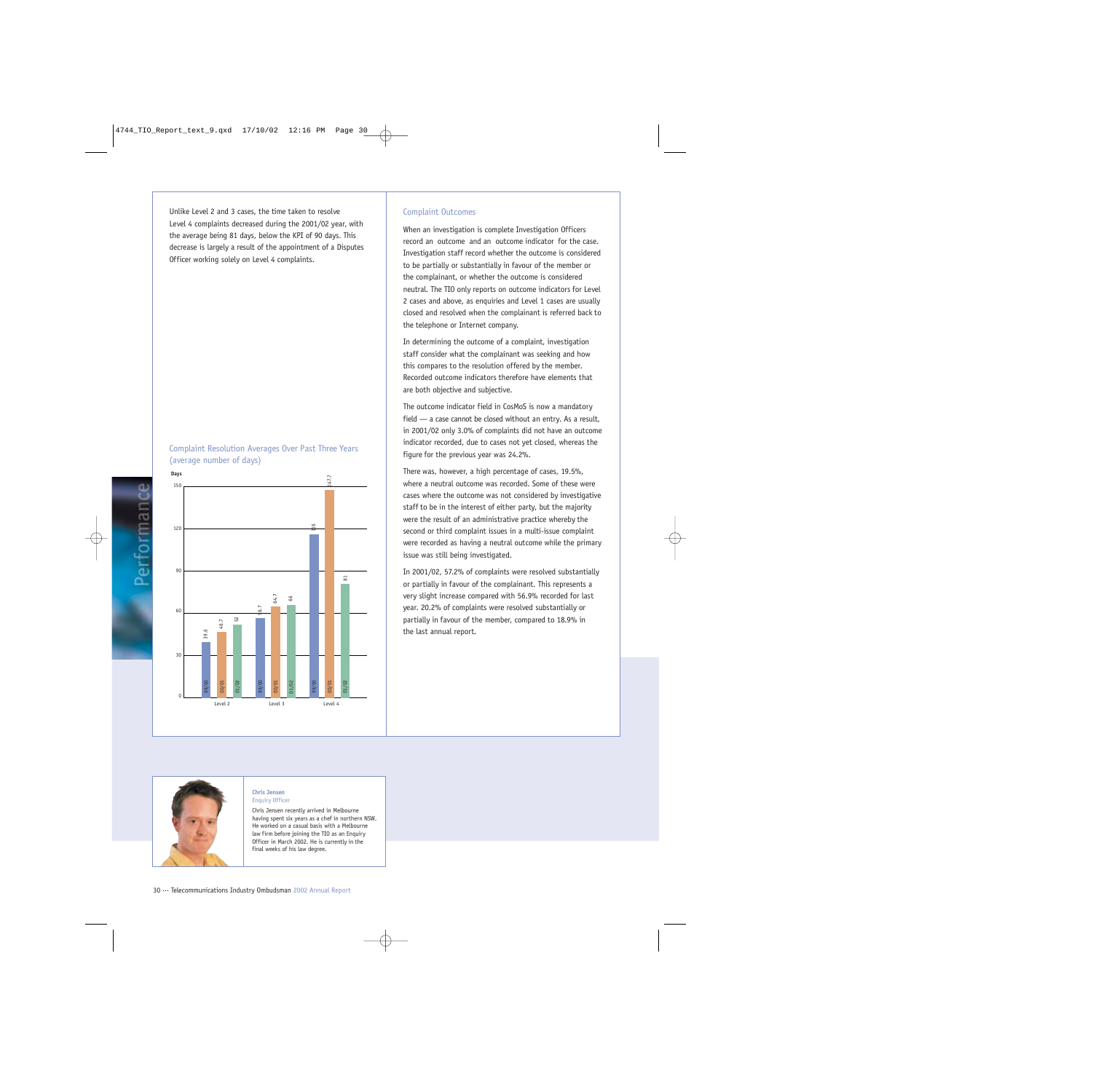Unlike Level 2 and 3 cases, the time taken to resolve Level 4 complaints decreased during the 2001/02 year, with the average being 81 days, below the KPI of 90 days. This decrease is largely a result of the appointment of a Disputes Officer working solely on Level 4 complaints.





### Complaint Outcomes

When an investigation is complete Investigation Officers record an outcome and an outcome indicator for the case. Investigation staff record whether the outcome is considered to be partially or substantially in favour of the member or the complainant, or whether the outcome is considered neutral. The TIO only reports on outcome indicators for Level 2 cases and above, as enquiries and Level 1 cases are usually closed and resolved when the complainant is referred back to the telephone or Internet company.

In determining the outcome of a complaint, investigation staff consider what the complainant was seeking and how this compares to the resolution offered by the member. Recorded outcome indicators therefore have elements that are both objective and subjective.

The outcome indicator field in CosMoS is now a mandatory field — a case cannot be closed without an entry. As a result, in 2001/02 only 3.0% of complaints did not have an outcome indicator recorded, due to cases not yet closed, whereas the figure for the previous year was 24.2%.

There was, however, a high percentage of cases, 19.5%, where a neutral outcome was recorded. Some of these were cases where the outcome was not considered by investigative staff to be in the interest of either party, but the majority were the result of an administrative practice whereby the second or third complaint issues in a multi-issue complaint were recorded as having a neutral outcome while the primary issue was still being investigated.

In 2001/02, 57.2% of complaints were resolved substantially or partially in favour of the complainant. This represents a very slight increase compared with 56.9% recorded for last year. 20.2% of complaints were resolved substantially or partially in favour of the member, compared to 18.9% in the last annual report.



#### **Chris Jensen** Enquiry Officer

Chris Jensen recently arrived in Melbourne having spent six years as a chef in northern NSW. He worked on a casual basis with a Melbourne law firm before joining the TIO as an Enquiry Officer in March 2002. He is currently in the final weeks of his law degree.